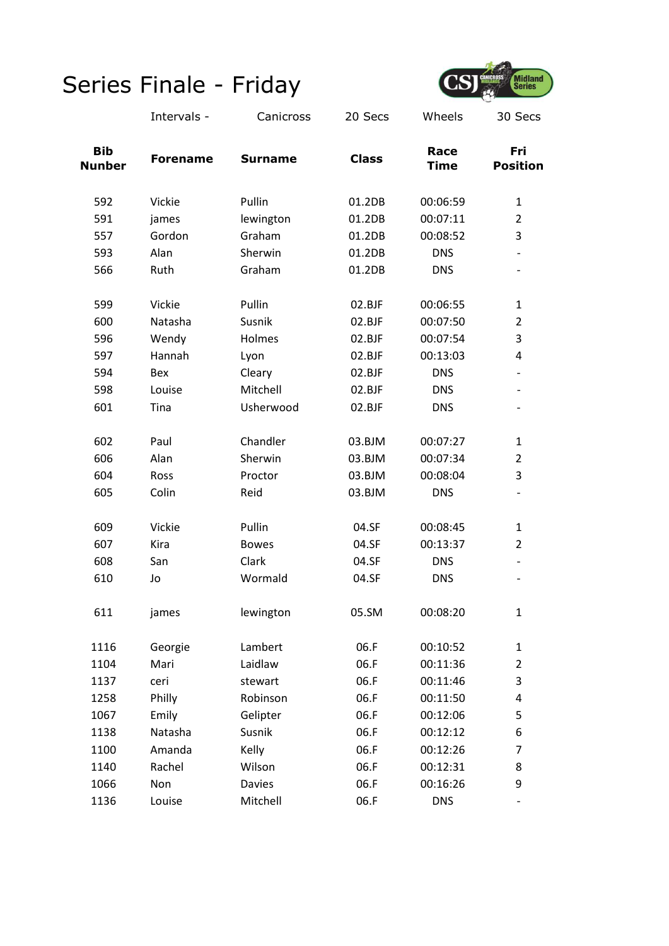

|                             | Intervals -     | Canicross      | 20 Secs      | Wheels              | 30 Secs                  |
|-----------------------------|-----------------|----------------|--------------|---------------------|--------------------------|
| <b>Bib</b><br><b>Nunber</b> | <b>Forename</b> | <b>Surname</b> | <b>Class</b> | Race<br><b>Time</b> | Fri<br><b>Position</b>   |
| 592                         | Vickie          | Pullin         | 01.2DB       | 00:06:59            | $\mathbf{1}$             |
| 591                         | james           | lewington      | 01.2DB       | 00:07:11            | $\overline{2}$           |
| 557                         | Gordon          | Graham         | 01.2DB       | 00:08:52            | 3                        |
| 593                         | Alan            | Sherwin        | 01.2DB       | <b>DNS</b>          |                          |
| 566                         | Ruth            | Graham         | 01.2DB       | <b>DNS</b>          |                          |
| 599                         | Vickie          | Pullin         | 02.BJF       | 00:06:55            | $\mathbf{1}$             |
| 600                         | Natasha         | Susnik         | 02.BJF       | 00:07:50            | $\overline{2}$           |
| 596                         | Wendy           | Holmes         | 02.BJF       | 00:07:54            | 3                        |
| 597                         | Hannah          | Lyon           | 02.BJF       | 00:13:03            | 4                        |
| 594                         | Bex             | Cleary         | 02.BJF       | <b>DNS</b>          |                          |
| 598                         | Louise          | Mitchell       | 02.BJF       | <b>DNS</b>          | $\overline{\phantom{a}}$ |
| 601                         | Tina            | Usherwood      | 02.BJF       | <b>DNS</b>          | $\overline{\phantom{a}}$ |
| 602                         | Paul            | Chandler       | 03.BJM       | 00:07:27            | $\mathbf{1}$             |
| 606                         | Alan            | Sherwin        | 03.BJM       | 00:07:34            | $\overline{2}$           |
| 604                         | Ross            | Proctor        | 03.BJM       | 00:08:04            | 3                        |
| 605                         | Colin           | Reid           | 03.BJM       | <b>DNS</b>          |                          |
| 609                         | Vickie          | Pullin         | 04.SF        | 00:08:45            | $\mathbf{1}$             |
| 607                         | Kira            | <b>Bowes</b>   | 04.SF        | 00:13:37            | $\overline{2}$           |
| 608                         | San             | Clark          | 04.SF        | <b>DNS</b>          |                          |
| 610                         | Jo              | Wormald        | 04.SF        | <b>DNS</b>          | $\overline{\phantom{a}}$ |
| 611                         | james           | lewington      | 05.SM        | 00:08:20            | 1                        |
| 1116                        | Georgie         | Lambert        | 06.F         | 00:10:52            | $\mathbf{1}$             |
| 1104                        | Mari            | Laidlaw        | 06.F         | 00:11:36            | $\overline{2}$           |
| 1137                        | ceri            | stewart        | 06.F         | 00:11:46            | 3                        |
| 1258                        | Philly          | Robinson       | 06.F         | 00:11:50            | 4                        |
| 1067                        | Emily           | Gelipter       | 06.F         | 00:12:06            | 5                        |
| 1138                        | Natasha         | Susnik         | 06.F         | 00:12:12            | 6                        |
| 1100                        | Amanda          | Kelly          | 06.F         | 00:12:26            | 7                        |
| 1140                        | Rachel          | Wilson         | 06.F         | 00:12:31            | 8                        |
| 1066                        | Non             | <b>Davies</b>  | 06.F         | 00:16:26            | 9                        |
| 1136                        | Louise          | Mitchell       | 06.F         | <b>DNS</b>          |                          |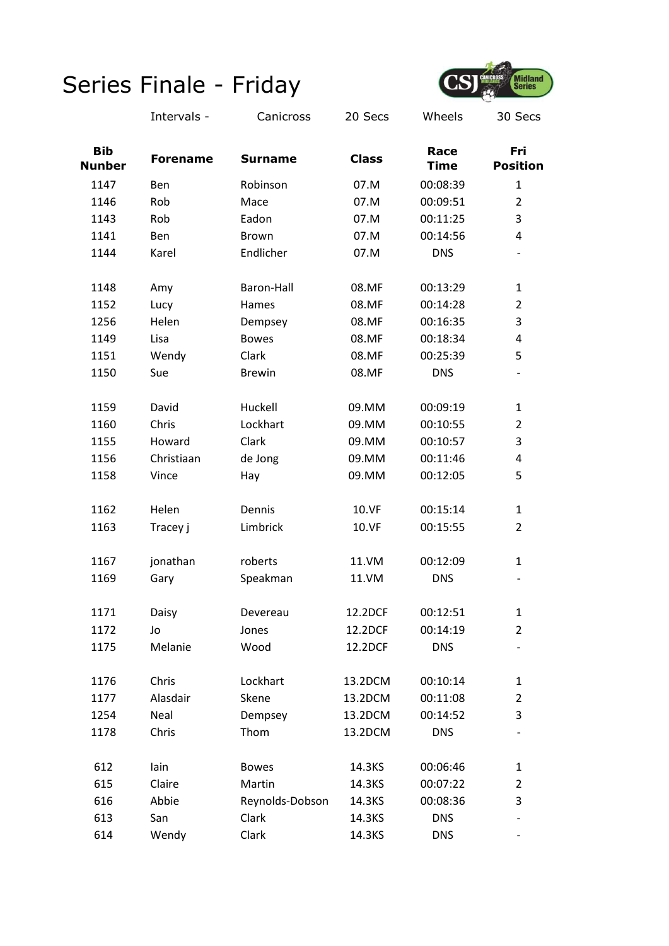

|                             | Intervals -     | Canicross       | 20 Secs      | Wheels              | 30 Secs                |
|-----------------------------|-----------------|-----------------|--------------|---------------------|------------------------|
| <b>Bib</b><br><b>Nunber</b> | <b>Forename</b> | <b>Surname</b>  | <b>Class</b> | Race<br><b>Time</b> | Fri<br><b>Position</b> |
| 1147                        | Ben             | Robinson        | 07.M         | 00:08:39            | 1                      |
| 1146                        | Rob             | Mace            | 07.M         | 00:09:51            | $\overline{2}$         |
| 1143                        | Rob             | Eadon           | 07.M         | 00:11:25            | 3                      |
| 1141                        | Ben             | Brown           | 07.M         | 00:14:56            | 4                      |
| 1144                        | Karel           | Endlicher       | 07.M         | <b>DNS</b>          |                        |
| 1148                        | Amy             | Baron-Hall      | 08.MF        | 00:13:29            | $\mathbf{1}$           |
| 1152                        | Lucy            | Hames           | 08.MF        | 00:14:28            | $\overline{2}$         |
| 1256                        | Helen           | Dempsey         | 08.MF        | 00:16:35            | 3                      |
| 1149                        | Lisa            | <b>Bowes</b>    | 08.MF        | 00:18:34            | 4                      |
| 1151                        | Wendy           | Clark           | 08.MF        | 00:25:39            | 5                      |
| 1150                        | Sue             | <b>Brewin</b>   | 08.MF        | <b>DNS</b>          |                        |
| 1159                        | David           | Huckell         | 09.MM        | 00:09:19            | $\mathbf{1}$           |
| 1160                        | Chris           | Lockhart        | 09.MM        | 00:10:55            | $\overline{2}$         |
| 1155                        | Howard          | Clark           | 09.MM        | 00:10:57            | 3                      |
| 1156                        | Christiaan      | de Jong         | 09.MM        | 00:11:46            | 4                      |
| 1158                        | Vince           | Hay             | 09.MM        | 00:12:05            | 5                      |
| 1162                        | Helen           | Dennis          | 10.VF        | 00:15:14            | $\mathbf{1}$           |
| 1163                        | Tracey j        | Limbrick        | 10.VF        | 00:15:55            | $\overline{2}$         |
| 1167                        | jonathan        | roberts         | 11.VM        | 00:12:09            | $\mathbf{1}$           |
| 1169                        | Gary            | Speakman        | 11.VM        | <b>DNS</b>          |                        |
| 1171                        | Daisy           | Devereau        | 12.2DCF      | 00:12:51            | 1                      |
| 1172                        | Jo              | Jones           | 12.2DCF      | 00:14:19            | $\overline{2}$         |
| 1175                        | Melanie         | Wood            | 12.2DCF      | <b>DNS</b>          |                        |
| 1176                        | Chris           | Lockhart        | 13.2DCM      | 00:10:14            | $\mathbf{1}$           |
| 1177                        | Alasdair        | Skene           | 13.2DCM      | 00:11:08            | $\overline{2}$         |
| 1254                        | Neal            | Dempsey         | 13.2DCM      | 00:14:52            | 3                      |
| 1178                        | Chris           | Thom            | 13.2DCM      | <b>DNS</b>          |                        |
| 612                         | lain            | <b>Bowes</b>    | 14.3KS       | 00:06:46            | $\mathbf{1}$           |
| 615                         | Claire          | Martin          | 14.3KS       | 00:07:22            | $\overline{2}$         |
| 616                         | Abbie           | Reynolds-Dobson | 14.3KS       | 00:08:36            | 3                      |
| 613                         | San             | Clark           | 14.3KS       | <b>DNS</b>          |                        |
| 614                         | Wendy           | Clark           | 14.3KS       | <b>DNS</b>          |                        |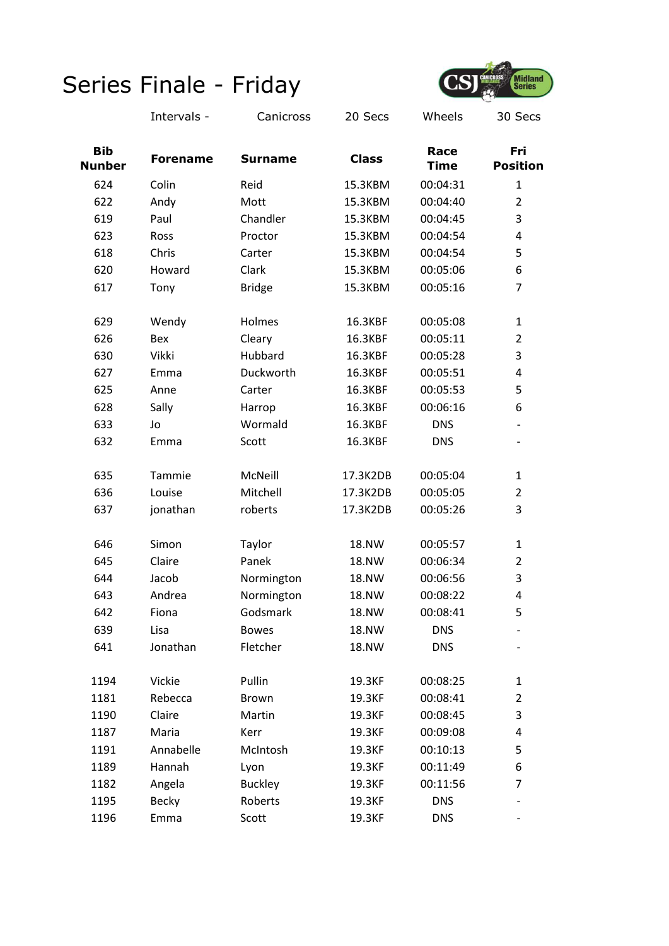

|                             | Intervals -     | Canicross      | 20 Secs      | Wheels              | 30 Secs                  |
|-----------------------------|-----------------|----------------|--------------|---------------------|--------------------------|
| <b>Bib</b><br><b>Nunber</b> | <b>Forename</b> | <b>Surname</b> | <b>Class</b> | Race<br><b>Time</b> | Fri<br><b>Position</b>   |
| 624                         | Colin           | Reid           | 15.3KBM      | 00:04:31            | $\mathbf{1}$             |
| 622                         | Andy            | Mott           | 15.3KBM      | 00:04:40            | $\overline{2}$           |
| 619                         | Paul            | Chandler       | 15.3KBM      | 00:04:45            | 3                        |
| 623                         | Ross            | Proctor        | 15.3KBM      | 00:04:54            | 4                        |
| 618                         | Chris           | Carter         | 15.3KBM      | 00:04:54            | 5                        |
| 620                         | Howard          | Clark          | 15.3KBM      | 00:05:06            | 6                        |
| 617                         | Tony            | <b>Bridge</b>  | 15.3KBM      | 00:05:16            | 7                        |
| 629                         | Wendy           | Holmes         | 16.3KBF      | 00:05:08            | $\mathbf{1}$             |
| 626                         | Bex             | Cleary         | 16.3KBF      | 00:05:11            | $\overline{2}$           |
| 630                         | Vikki           | Hubbard        | 16.3KBF      | 00:05:28            | 3                        |
| 627                         | Emma            | Duckworth      | 16.3KBF      | 00:05:51            | 4                        |
| 625                         | Anne            | Carter         | 16.3KBF      | 00:05:53            | 5                        |
| 628                         | Sally           | Harrop         | 16.3KBF      | 00:06:16            | 6                        |
| 633                         | Jo              | Wormald        | 16.3KBF      | <b>DNS</b>          | $\overline{\phantom{a}}$ |
| 632                         | Emma            | Scott          | 16.3KBF      | <b>DNS</b>          | $\overline{\phantom{a}}$ |
| 635                         | Tammie          | McNeill        | 17.3K2DB     | 00:05:04            | 1                        |
| 636                         | Louise          | Mitchell       | 17.3K2DB     | 00:05:05            | $\overline{2}$           |
| 637                         | jonathan        | roberts        | 17.3K2DB     | 00:05:26            | 3                        |
| 646                         | Simon           | Taylor         | 18.NW        | 00:05:57            | $\mathbf{1}$             |
| 645                         | Claire          | Panek          | <b>18.NW</b> | 00:06:34            | $\overline{2}$           |
| 644                         | Jacob           | Normington     | <b>18.NW</b> | 00:06:56            | 3                        |
| 643                         | Andrea          | Normington     | 18.NW        | 00:08:22            | 4                        |
| 642                         | Fiona           | Godsmark       | 18.NW        | 00:08:41            | 5                        |
| 639                         | Lisa            | <b>Bowes</b>   | 18.NW        | <b>DNS</b>          |                          |
| 641                         | Jonathan        | Fletcher       | 18.NW        | <b>DNS</b>          |                          |
| 1194                        | Vickie          | Pullin         | 19.3KF       | 00:08:25            | $\mathbf{1}$             |
| 1181                        | Rebecca         | <b>Brown</b>   | 19.3KF       | 00:08:41            | $\overline{2}$           |
| 1190                        | Claire          | Martin         | 19.3KF       | 00:08:45            | 3                        |
| 1187                        | Maria           | Kerr           | 19.3KF       | 00:09:08            | 4                        |
| 1191                        | Annabelle       | McIntosh       | 19.3KF       | 00:10:13            | 5                        |
| 1189                        | Hannah          | Lyon           | 19.3KF       | 00:11:49            | 6                        |
| 1182                        | Angela          | <b>Buckley</b> | 19.3KF       | 00:11:56            | 7                        |
| 1195                        | <b>Becky</b>    | Roberts        | 19.3KF       | <b>DNS</b>          |                          |
| 1196                        | Emma            | Scott          | 19.3KF       | <b>DNS</b>          |                          |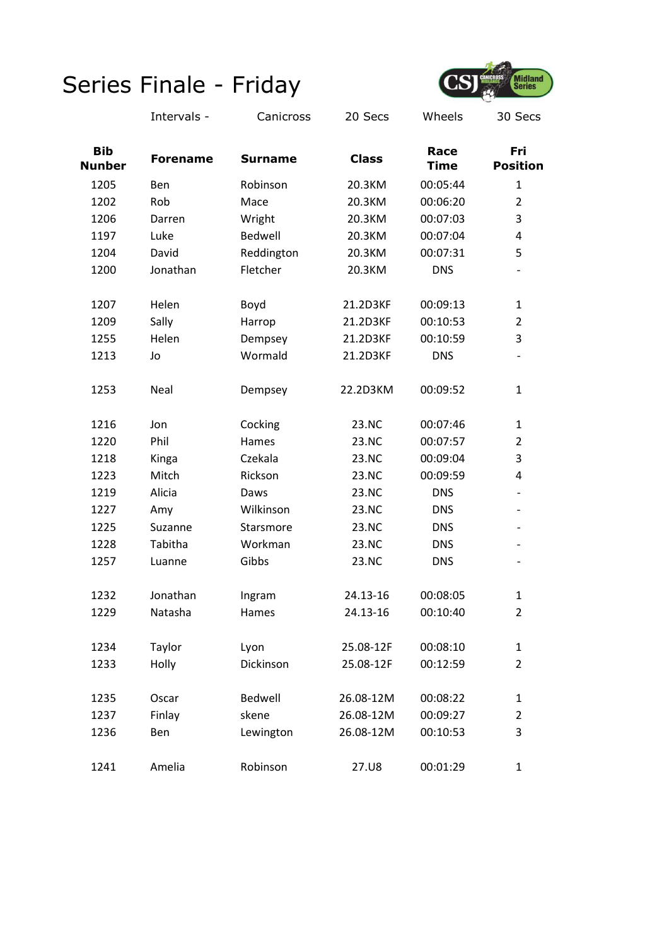

|                             | Intervals -     | Canicross      | 20 Secs      | Wheels              | 30 Secs                  |
|-----------------------------|-----------------|----------------|--------------|---------------------|--------------------------|
| <b>Bib</b><br><b>Nunber</b> | <b>Forename</b> | <b>Surname</b> | <b>Class</b> | Race<br><b>Time</b> | Fri<br><b>Position</b>   |
| 1205                        | Ben             | Robinson       | 20.3KM       | 00:05:44            | $\mathbf{1}$             |
| 1202                        | Rob             | Mace           | 20.3KM       | 00:06:20            | $\overline{2}$           |
| 1206                        | Darren          | Wright         | 20.3KM       | 00:07:03            | 3                        |
| 1197                        | Luke            | Bedwell        | 20.3KM       | 00:07:04            | 4                        |
| 1204                        | David           | Reddington     | 20.3KM       | 00:07:31            | 5                        |
| 1200                        | Jonathan        | Fletcher       | 20.3KM       | <b>DNS</b>          |                          |
| 1207                        | Helen           | Boyd           | 21.2D3KF     | 00:09:13            | $\mathbf{1}$             |
| 1209                        | Sally           | Harrop         | 21.2D3KF     | 00:10:53            | $\overline{2}$           |
| 1255                        | Helen           | Dempsey        | 21.2D3KF     | 00:10:59            | 3                        |
| 1213                        | Jo              | Wormald        | 21.2D3KF     | <b>DNS</b>          | $\overline{\phantom{a}}$ |
| 1253                        | Neal            | Dempsey        | 22.2D3KM     | 00:09:52            | $\mathbf{1}$             |
| 1216                        | Jon             | Cocking        | 23.NC        | 00:07:46            | $\mathbf{1}$             |
| 1220                        | Phil            | Hames          | 23.NC        | 00:07:57            | $\overline{2}$           |
| 1218                        | Kinga           | Czekala        | 23.NC        | 00:09:04            | 3                        |
| 1223                        | Mitch           | Rickson        | 23.NC        | 00:09:59            | 4                        |
| 1219                        | Alicia          | Daws           | 23.NC        | <b>DNS</b>          | $\overline{\phantom{a}}$ |
| 1227                        | Amy             | Wilkinson      | 23.NC        | <b>DNS</b>          | -                        |
| 1225                        | Suzanne         | Starsmore      | 23.NC        | <b>DNS</b>          | $\overline{\phantom{a}}$ |
| 1228                        | Tabitha         | Workman        | 23.NC        | <b>DNS</b>          | $\overline{\phantom{a}}$ |
| 1257                        | Luanne          | Gibbs          | 23.NC        | <b>DNS</b>          | $\overline{\phantom{a}}$ |
| 1232                        | Jonathan        | Ingram         | 24.13-16     | 00:08:05            | $\mathbf{1}$             |
| 1229                        | Natasha         | Hames          | 24.13-16     | 00:10:40            | $\overline{2}$           |
| 1234                        | Taylor          | Lyon           | 25.08-12F    | 00:08:10            | $\mathbf{1}$             |
| 1233                        | Holly           | Dickinson      | 25.08-12F    | 00:12:59            | $\overline{2}$           |
| 1235                        | Oscar           | Bedwell        | 26.08-12M    | 00:08:22            | $\mathbf{1}$             |
| 1237                        | Finlay          | skene          | 26.08-12M    | 00:09:27            | $\overline{2}$           |
| 1236                        | Ben             | Lewington      | 26.08-12M    | 00:10:53            | 3                        |
| 1241                        | Amelia          | Robinson       | 27.U8        | 00:01:29            | $\mathbf{1}$             |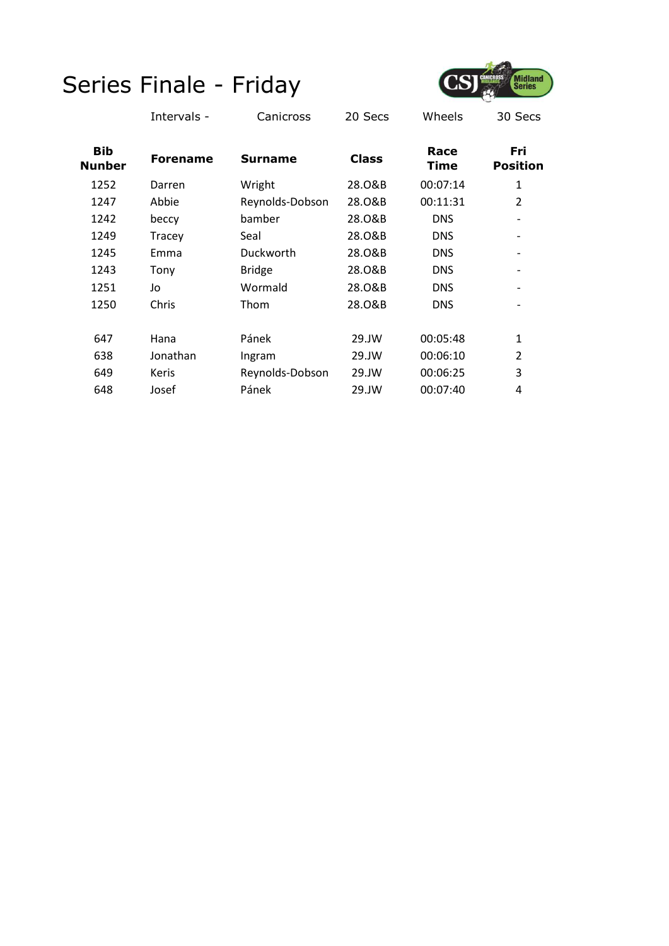

|                             | Intervals -     | Canicross       | 20 Secs      | Wheels       | 30 Secs                      |
|-----------------------------|-----------------|-----------------|--------------|--------------|------------------------------|
| <b>Bib</b><br><b>Nunber</b> | <b>Forename</b> | <b>Surname</b>  | <b>Class</b> | Race<br>Time | Fri<br><b>Position</b>       |
| 1252                        | Darren          | Wright          | 28.0&B       | 00:07:14     | 1                            |
| 1247                        | Abbie           | Reynolds-Dobson | 28.0&B       | 00:11:31     | $\overline{2}$               |
| 1242                        | beccy           | bamber          | 28.0&B       | <b>DNS</b>   | $\qquad \qquad \blacksquare$ |
| 1249                        | Tracey          | Seal            | 28.0&B       | <b>DNS</b>   | $\overline{\phantom{a}}$     |
| 1245                        | Emma            | Duckworth       | 28.0&B       | <b>DNS</b>   | $\qquad \qquad \blacksquare$ |
| 1243                        | Tony            | <b>Bridge</b>   | 28.0&B       | <b>DNS</b>   |                              |
| 1251                        | Jo              | Wormald         | 28.0&B       | <b>DNS</b>   |                              |
| 1250                        | Chris           | Thom            | 28.0&B       | <b>DNS</b>   |                              |
| 647                         | Hana            | Pánek           | 29.JW        | 00:05:48     | $\mathbf{1}$                 |
| 638                         | Jonathan        | Ingram          | 29.JW        | 00:06:10     | $\overline{2}$               |
| 649                         | <b>Keris</b>    | Reynolds-Dobson | 29.JW        | 00:06:25     | 3                            |
| 648                         | Josef           | Pánek           | 29.JW        | 00:07:40     | 4                            |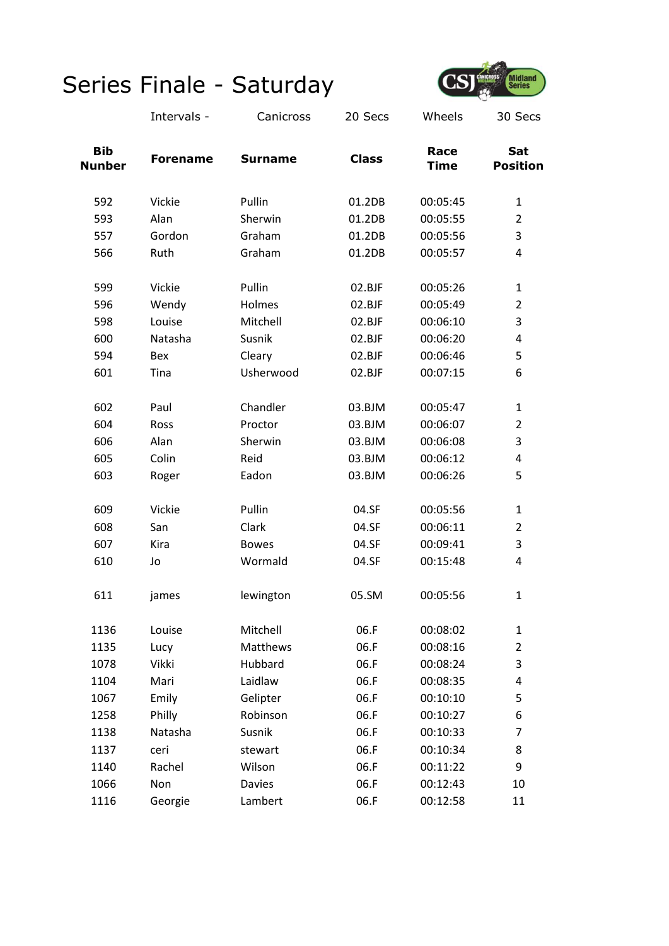

|                             | Intervals -     | Canicross      | 20 Secs      | Wheels              | 30 Secs                |
|-----------------------------|-----------------|----------------|--------------|---------------------|------------------------|
| <b>Bib</b><br><b>Nunber</b> | <b>Forename</b> | <b>Surname</b> | <b>Class</b> | Race<br><b>Time</b> | Sat<br><b>Position</b> |
| 592                         | Vickie          | Pullin         | 01.2DB       | 00:05:45            | $\mathbf{1}$           |
| 593                         | Alan            | Sherwin        | 01.2DB       | 00:05:55            | $\overline{2}$         |
| 557                         | Gordon          | Graham         | 01.2DB       | 00:05:56            | 3                      |
| 566                         | Ruth            | Graham         | 01.2DB       | 00:05:57            | 4                      |
| 599                         | Vickie          | Pullin         | 02.BJF       | 00:05:26            | $\mathbf{1}$           |
| 596                         | Wendy           | Holmes         | 02.BJF       | 00:05:49            | $\overline{2}$         |
| 598                         | Louise          | Mitchell       | 02.BJF       | 00:06:10            | 3                      |
| 600                         | Natasha         | Susnik         | 02.BJF       | 00:06:20            | 4                      |
| 594                         | Bex             | Cleary         | 02.BJF       | 00:06:46            | 5                      |
| 601                         | Tina            | Usherwood      | 02.BJF       | 00:07:15            | 6                      |
| 602                         | Paul            | Chandler       | 03.BJM       | 00:05:47            | $\mathbf{1}$           |
| 604                         | Ross            | Proctor        | 03.BJM       | 00:06:07            | $\overline{2}$         |
| 606                         | Alan            | Sherwin        | 03.BJM       | 00:06:08            | 3                      |
| 605                         | Colin           | Reid           | 03.BJM       | 00:06:12            | 4                      |
| 603                         | Roger           | Eadon          | 03.BJM       | 00:06:26            | 5                      |
| 609                         | Vickie          | Pullin         | 04.SF        | 00:05:56            | $\mathbf{1}$           |
| 608                         | San             | Clark          | 04.SF        | 00:06:11            | $\overline{2}$         |
| 607                         | Kira            | <b>Bowes</b>   | 04.SF        | 00:09:41            | 3                      |
| 610                         | Jo              | Wormald        | 04.SF        | 00:15:48            | 4                      |
| 611                         | james           | lewington      | 05.SM        | 00:05:56            | $\mathbf{1}$           |
| 1136                        | Louise          | Mitchell       | 06.F         | 00:08:02            | $\mathbf{1}$           |
| 1135                        | Lucy            | Matthews       | 06.F         | 00:08:16            | $\overline{2}$         |
| 1078                        | Vikki           | Hubbard        | 06.F         | 00:08:24            | 3                      |
| 1104                        | Mari            | Laidlaw        | 06.F         | 00:08:35            | 4                      |
| 1067                        | Emily           | Gelipter       | 06.F         | 00:10:10            | 5                      |
| 1258                        | Philly          | Robinson       | 06.F         | 00:10:27            | 6                      |
| 1138                        | Natasha         | Susnik         | 06.F         | 00:10:33            | 7                      |
| 1137                        | ceri            | stewart        | 06.F         | 00:10:34            | 8                      |
| 1140                        | Rachel          | Wilson         | 06.F         | 00:11:22            | 9                      |
| 1066                        | Non             | <b>Davies</b>  | 06.F         | 00:12:43            | 10                     |
| 1116                        | Georgie         | Lambert        | 06.F         | 00:12:58            | 11                     |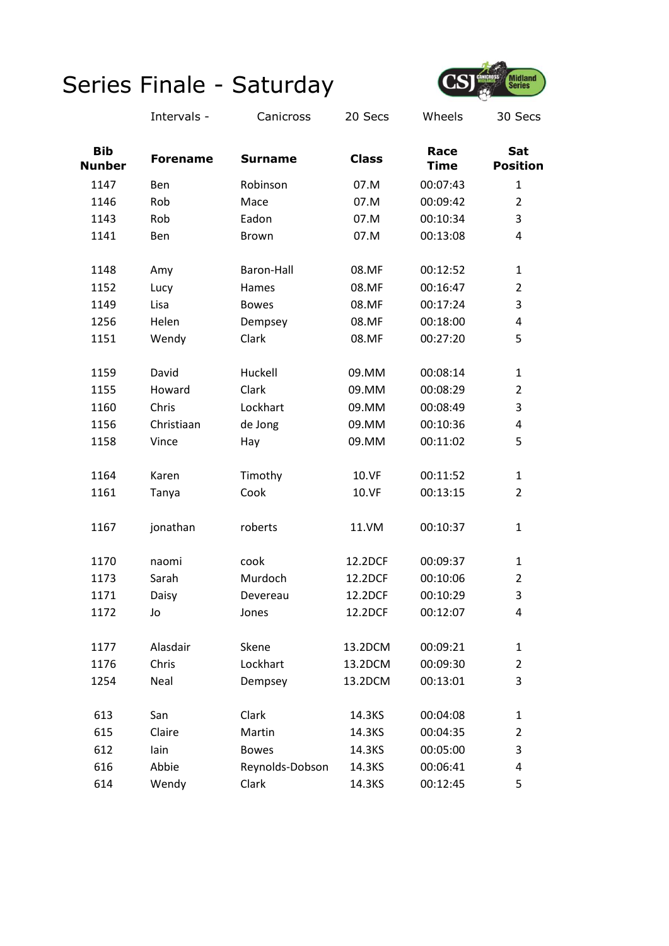

|                             | Intervals -     | Canicross         | 20 Secs      | Wheels              | 30 Secs                |
|-----------------------------|-----------------|-------------------|--------------|---------------------|------------------------|
| <b>Bib</b><br><b>Nunber</b> | <b>Forename</b> | <b>Surname</b>    | <b>Class</b> | Race<br><b>Time</b> | Sat<br><b>Position</b> |
| 1147                        | Ben             | Robinson          | 07.M         | 00:07:43            | $\mathbf{1}$           |
| 1146                        | Rob             | Mace              | 07.M         | 00:09:42            | $\overline{2}$         |
| 1143                        | Rob             | Eadon             | 07.M         | 00:10:34            | 3                      |
| 1141                        | Ben             | <b>Brown</b>      | 07.M         | 00:13:08            | 4                      |
| 1148                        | Amy             | <b>Baron-Hall</b> | 08.MF        | 00:12:52            | $\mathbf{1}$           |
| 1152                        | Lucy            | Hames             | 08.MF        | 00:16:47            | $\overline{2}$         |
| 1149                        | Lisa            | <b>Bowes</b>      | 08.MF        | 00:17:24            | 3                      |
| 1256                        | Helen           | Dempsey           | 08.MF        | 00:18:00            | 4                      |
| 1151                        | Wendy           | Clark             | 08.MF        | 00:27:20            | 5                      |
| 1159                        | David           | Huckell           | 09.MM        | 00:08:14            | 1                      |
| 1155                        | Howard          | Clark             | 09.MM        | 00:08:29            | $\overline{2}$         |
| 1160                        | Chris           | Lockhart          | 09.MM        | 00:08:49            | 3                      |
| 1156                        | Christiaan      | de Jong           | 09.MM        | 00:10:36            | 4                      |
| 1158                        | Vince           | Hay               | 09.MM        | 00:11:02            | 5                      |
| 1164                        | Karen           | Timothy           | 10.VF        | 00:11:52            | $\mathbf{1}$           |
| 1161                        | Tanya           | Cook              | 10.VF        | 00:13:15            | $\overline{2}$         |
| 1167                        | jonathan        | roberts           | 11.VM        | 00:10:37            | 1                      |
| 1170                        | naomi           | cook              | 12.2DCF      | 00:09:37            | $\mathbf{1}$           |
| 1173                        | Sarah           | Murdoch           | 12.2DCF      | 00:10:06            | $\overline{2}$         |
| 1171                        | Daisy           | Devereau          | 12.2DCF      | 00:10:29            | 3                      |
| 1172                        | Jo              | Jones             | 12.2DCF      | 00:12:07            | 4                      |
| 1177                        | Alasdair        | Skene             | 13.2DCM      | 00:09:21            | $\mathbf{1}$           |
| 1176                        | Chris           | Lockhart          | 13.2DCM      | 00:09:30            | $\overline{2}$         |
| 1254                        | Neal            | Dempsey           | 13.2DCM      | 00:13:01            | 3                      |
| 613                         | San             | Clark             | 14.3KS       | 00:04:08            | $\mathbf{1}$           |
| 615                         | Claire          | Martin            | 14.3KS       | 00:04:35            | $\overline{2}$         |
| 612                         | lain            | <b>Bowes</b>      | 14.3KS       | 00:05:00            | 3                      |
| 616                         | Abbie           | Reynolds-Dobson   | 14.3KS       | 00:06:41            | 4                      |
| 614                         | Wendy           | Clark             | 14.3KS       | 00:12:45            | 5                      |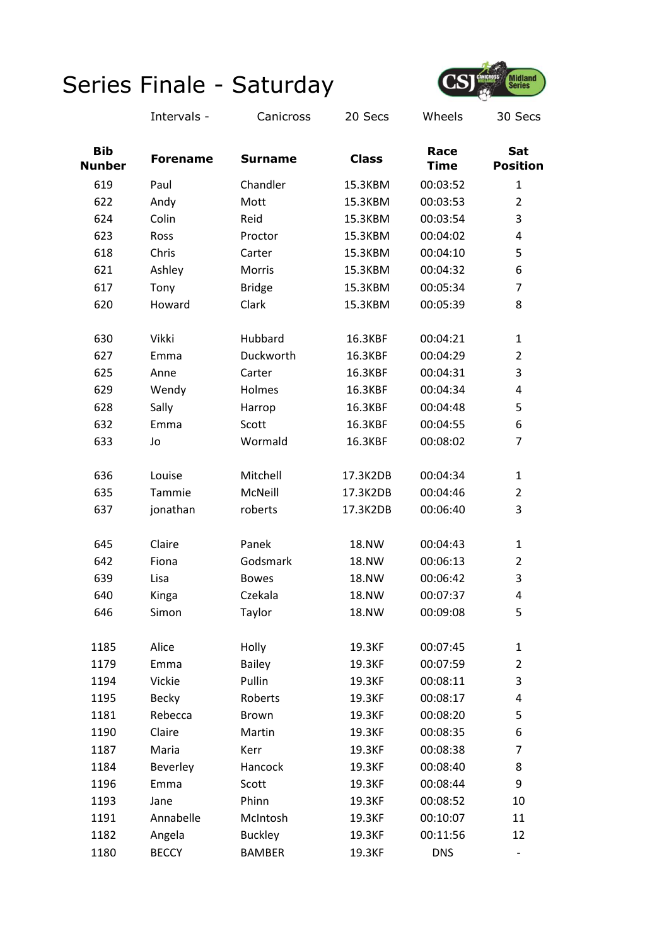

|                             | Intervals -     | Canicross      | 20 Secs      | Wheels              | 30 Secs                  |
|-----------------------------|-----------------|----------------|--------------|---------------------|--------------------------|
| <b>Bib</b><br><b>Nunber</b> | <b>Forename</b> | <b>Surname</b> | <b>Class</b> | Race<br><b>Time</b> | Sat<br><b>Position</b>   |
| 619                         | Paul            | Chandler       | 15.3KBM      | 00:03:52            | $\mathbf{1}$             |
| 622                         | Andy            | Mott           | 15.3KBM      | 00:03:53            | $\overline{2}$           |
| 624                         | Colin           | Reid           | 15.3KBM      | 00:03:54            | 3                        |
| 623                         | Ross            | Proctor        | 15.3KBM      | 00:04:02            | 4                        |
| 618                         | Chris           | Carter         | 15.3KBM      | 00:04:10            | 5                        |
| 621                         | Ashley          | Morris         | 15.3KBM      | 00:04:32            | 6                        |
| 617                         | Tony            | <b>Bridge</b>  | 15.3KBM      | 00:05:34            | 7                        |
| 620                         | Howard          | Clark          | 15.3KBM      | 00:05:39            | 8                        |
| 630                         | Vikki           | Hubbard        | 16.3KBF      | 00:04:21            | $\mathbf{1}$             |
| 627                         | Emma            | Duckworth      | 16.3KBF      | 00:04:29            | $\overline{2}$           |
| 625                         | Anne            | Carter         | 16.3KBF      | 00:04:31            | 3                        |
| 629                         | Wendy           | Holmes         | 16.3KBF      | 00:04:34            | 4                        |
| 628                         | Sally           | Harrop         | 16.3KBF      | 00:04:48            | 5                        |
| 632                         | Emma            | Scott          | 16.3KBF      | 00:04:55            | 6                        |
| 633                         | Jo              | Wormald        | 16.3KBF      | 00:08:02            | $\overline{7}$           |
| 636                         | Louise          | Mitchell       | 17.3K2DB     | 00:04:34            | 1                        |
| 635                         | Tammie          | McNeill        | 17.3K2DB     | 00:04:46            | $\overline{2}$           |
| 637                         | jonathan        | roberts        | 17.3K2DB     | 00:06:40            | 3                        |
| 645                         | Claire          | Panek          | <b>18.NW</b> | 00:04:43            | 1                        |
| 642                         | Fiona           | Godsmark       | <b>18.NW</b> | 00:06:13            | $\overline{2}$           |
| 639                         | Lisa            | <b>Bowes</b>   | 18.NW        | 00:06:42            | 3                        |
| 640                         | Kinga           | Czekala        | 18.NW        | 00:07:37            | 4                        |
| 646                         | Simon           | Taylor         | 18.NW        | 00:09:08            | 5                        |
| 1185                        | Alice           | Holly          | 19.3KF       | 00:07:45            | $\mathbf{1}$             |
| 1179                        | Emma            | <b>Bailey</b>  | 19.3KF       | 00:07:59            | $\overline{2}$           |
| 1194                        | Vickie          | Pullin         | 19.3KF       | 00:08:11            | 3                        |
| 1195                        | <b>Becky</b>    | Roberts        | 19.3KF       | 00:08:17            | 4                        |
| 1181                        | Rebecca         | <b>Brown</b>   | 19.3KF       | 00:08:20            | 5                        |
| 1190                        | Claire          | Martin         | 19.3KF       | 00:08:35            | 6                        |
| 1187                        | Maria           | Kerr           | 19.3KF       | 00:08:38            | $\overline{7}$           |
| 1184                        | Beverley        | Hancock        | 19.3KF       | 00:08:40            | 8                        |
| 1196                        | Emma            | Scott          | 19.3KF       | 00:08:44            | 9                        |
| 1193                        | Jane            | Phinn          | 19.3KF       | 00:08:52            | 10                       |
| 1191                        | Annabelle       | McIntosh       | 19.3KF       | 00:10:07            | 11                       |
| 1182                        | Angela          | <b>Buckley</b> | 19.3KF       | 00:11:56            | 12                       |
| 1180                        | <b>BECCY</b>    | <b>BAMBER</b>  | 19.3KF       | <b>DNS</b>          | $\overline{\phantom{a}}$ |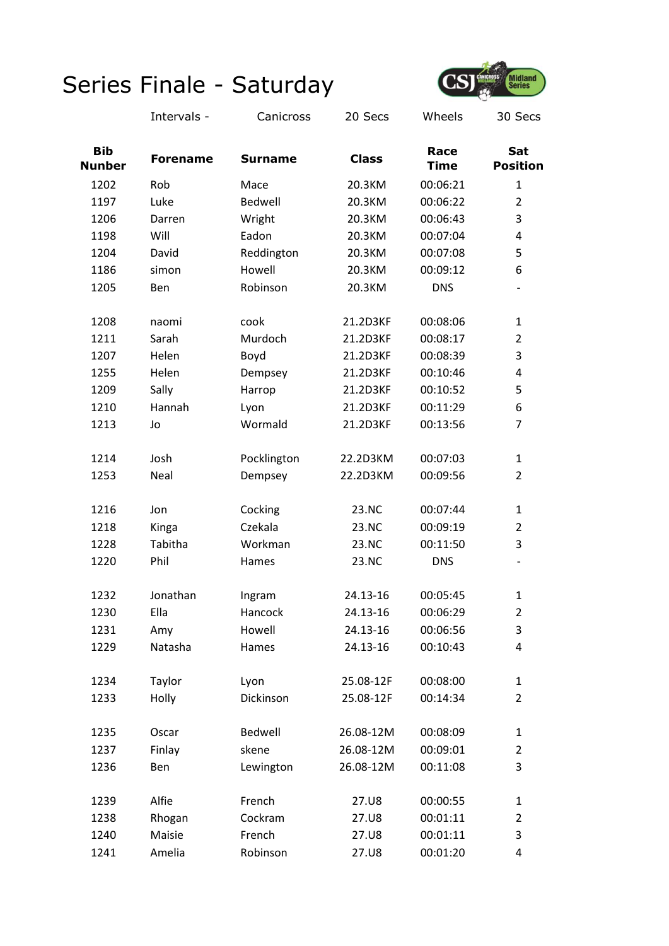

|                             | Intervals -     | Canicross      | 20 Secs      | Wheels              | 30 Secs                  |
|-----------------------------|-----------------|----------------|--------------|---------------------|--------------------------|
| <b>Bib</b><br><b>Nunber</b> | <b>Forename</b> | <b>Surname</b> | <b>Class</b> | Race<br><b>Time</b> | Sat<br><b>Position</b>   |
| 1202                        | Rob             | Mace           | 20.3KM       | 00:06:21            | $\mathbf{1}$             |
| 1197                        | Luke            | Bedwell        | 20.3KM       | 00:06:22            | $\overline{2}$           |
| 1206                        | Darren          | Wright         | 20.3KM       | 00:06:43            | 3                        |
| 1198                        | Will            | Eadon          | 20.3KM       | 00:07:04            | 4                        |
| 1204                        | David           | Reddington     | 20.3KM       | 00:07:08            | 5                        |
| 1186                        | simon           | Howell         | 20.3KM       | 00:09:12            | 6                        |
| 1205                        | Ben             | Robinson       | 20.3KM       | <b>DNS</b>          | $\overline{\phantom{a}}$ |
| 1208                        | naomi           | cook           | 21.2D3KF     | 00:08:06            | 1                        |
| 1211                        | Sarah           | Murdoch        | 21.2D3KF     | 00:08:17            | $\overline{2}$           |
| 1207                        | Helen           | Boyd           | 21.2D3KF     | 00:08:39            | 3                        |
| 1255                        | Helen           | Dempsey        | 21.2D3KF     | 00:10:46            | 4                        |
| 1209                        | Sally           | Harrop         | 21.2D3KF     | 00:10:52            | 5                        |
| 1210                        | Hannah          | Lyon           | 21.2D3KF     | 00:11:29            | 6                        |
| 1213                        | Jo              | Wormald        | 21.2D3KF     | 00:13:56            | $\overline{7}$           |
| 1214                        | Josh            | Pocklington    | 22.2D3KM     | 00:07:03            | $\mathbf{1}$             |
| 1253                        | Neal            | Dempsey        | 22.2D3KM     | 00:09:56            | $\overline{2}$           |
| 1216                        | Jon             | Cocking        | 23.NC        | 00:07:44            | $\mathbf{1}$             |
| 1218                        | Kinga           | Czekala        | 23.NC        | 00:09:19            | $\overline{2}$           |
| 1228                        | Tabitha         | Workman        | 23.NC        | 00:11:50            | 3                        |
| 1220                        | Phil            | Hames          | 23.NC        | <b>DNS</b>          | $\overline{\phantom{a}}$ |
| 1232                        | Jonathan        | Ingram         | 24.13-16     | 00:05:45            | $\mathbf{1}$             |
| 1230                        | Ella            | Hancock        | 24.13-16     | 00:06:29            | $\overline{2}$           |
| 1231                        | Amy             | Howell         | 24.13-16     | 00:06:56            | 3                        |
| 1229                        | Natasha         | Hames          | 24.13-16     | 00:10:43            | 4                        |
| 1234                        | Taylor          | Lyon           | 25.08-12F    | 00:08:00            | $\mathbf{1}$             |
| 1233                        | Holly           | Dickinson      | 25.08-12F    | 00:14:34            | $\overline{2}$           |
| 1235                        | Oscar           | Bedwell        | 26.08-12M    | 00:08:09            | $\mathbf{1}$             |
| 1237                        | Finlay          | skene          | 26.08-12M    | 00:09:01            | $\overline{2}$           |
| 1236                        | Ben             | Lewington      | 26.08-12M    | 00:11:08            | 3                        |
| 1239                        | Alfie           | French         | 27.U8        | 00:00:55            | $\mathbf{1}$             |
| 1238                        | Rhogan          | Cockram        | 27.U8        | 00:01:11            | $\overline{2}$           |
| 1240                        | Maisie          | French         | 27.U8        | 00:01:11            | 3                        |
| 1241                        | Amelia          | Robinson       | 27.U8        | 00:01:20            | 4                        |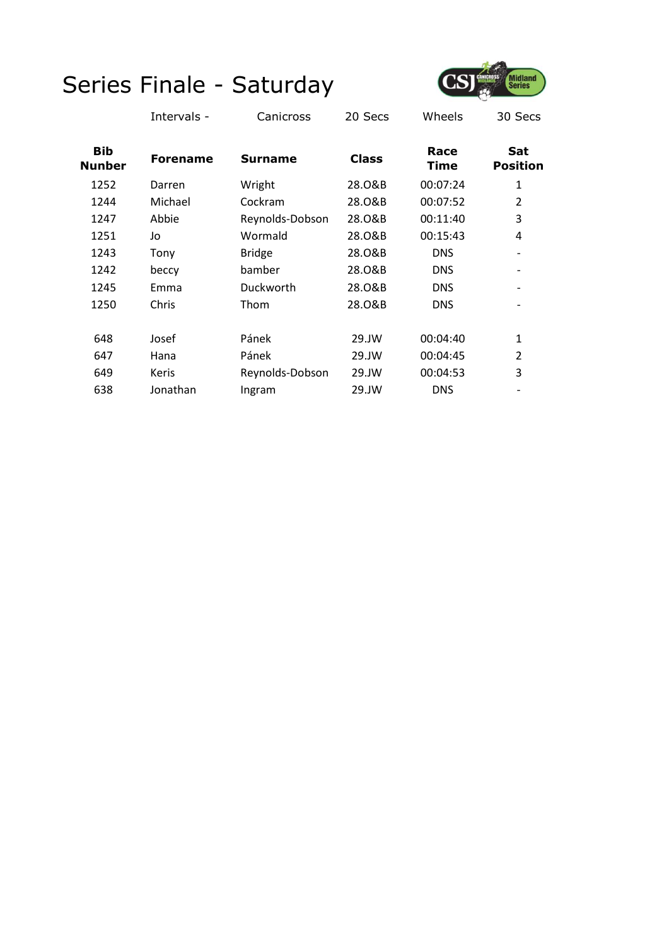

|                             | Intervals -     | Canicross       | 20 Secs      | Wheels              | 30 Secs                      |
|-----------------------------|-----------------|-----------------|--------------|---------------------|------------------------------|
| <b>Bib</b><br><b>Nunber</b> | <b>Forename</b> | <b>Surname</b>  | <b>Class</b> | Race<br><b>Time</b> | Sat<br><b>Position</b>       |
| 1252                        | Darren          | Wright          | 28.0&B       | 00:07:24            | 1                            |
| 1244                        | Michael         | Cockram         | 28.0&B       | 00:07:52            | $\overline{2}$               |
| 1247                        | Abbie           | Reynolds-Dobson | 28.0&B       | 00:11:40            | 3                            |
| 1251                        | Jo              | Wormald         | 28.0&B       | 00:15:43            | 4                            |
| 1243                        | Tony            | <b>Bridge</b>   | 28.0&B       | <b>DNS</b>          | $\qquad \qquad \blacksquare$ |
| 1242                        | beccy           | bamber          | 28.0&B       | <b>DNS</b>          |                              |
| 1245                        | Emma            | Duckworth       | 28.0&B       | <b>DNS</b>          | $\qquad \qquad \blacksquare$ |
| 1250                        | Chris           | Thom            | 28.0&B       | <b>DNS</b>          |                              |
| 648                         | Josef           | Pánek           | 29.JW        | 00:04:40            | $\mathbf{1}$                 |
| 647                         | Hana            | Pánek           | 29.JW        | 00:04:45            | $\overline{2}$               |
| 649                         | <b>Keris</b>    | Reynolds-Dobson | 29.JW        | 00:04:53            | 3                            |
| 638                         | Jonathan        | Ingram          | 29.JW        | <b>DNS</b>          |                              |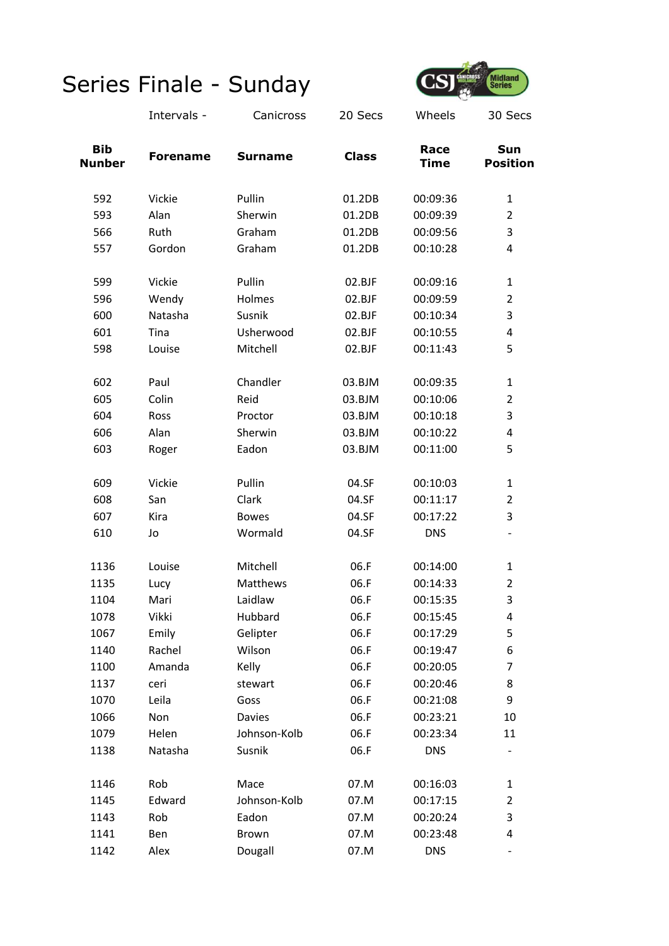

|                             | Intervals -     | Canicross      | 20 Secs      | Wheels              | 30 Secs                |
|-----------------------------|-----------------|----------------|--------------|---------------------|------------------------|
| <b>Bib</b><br><b>Nunber</b> | <b>Forename</b> | <b>Surname</b> | <b>Class</b> | Race<br><b>Time</b> | Sun<br><b>Position</b> |
| 592                         | Vickie          | Pullin         | 01.2DB       | 00:09:36            | $\mathbf{1}$           |
| 593                         | Alan            | Sherwin        | 01.2DB       | 00:09:39            | $\overline{2}$         |
| 566                         | Ruth            | Graham         | 01.2DB       | 00:09:56            | 3                      |
| 557                         | Gordon          | Graham         | 01.2DB       | 00:10:28            | 4                      |
| 599                         | Vickie          | Pullin         | 02.BJF       | 00:09:16            | $\mathbf{1}$           |
| 596                         | Wendy           | Holmes         | 02.BJF       | 00:09:59            | $\overline{2}$         |
| 600                         | Natasha         | Susnik         | 02.BJF       | 00:10:34            | 3                      |
| 601                         | Tina            | Usherwood      | 02.BJF       | 00:10:55            | 4                      |
| 598                         | Louise          | Mitchell       | 02.BJF       | 00:11:43            | 5                      |
| 602                         | Paul            | Chandler       | 03.BJM       | 00:09:35            | 1                      |
| 605                         | Colin           | Reid           | 03.BJM       | 00:10:06            | $\overline{2}$         |
| 604                         | Ross            | Proctor        | 03.BJM       | 00:10:18            | 3                      |
| 606                         | Alan            | Sherwin        | 03.BJM       | 00:10:22            | 4                      |
| 603                         | Roger           | Eadon          | 03.BJM       | 00:11:00            | 5                      |
| 609                         | Vickie          | Pullin         | 04.SF        | 00:10:03            | 1                      |
| 608                         | San             | Clark          | 04.SF        | 00:11:17            | $\overline{2}$         |
| 607                         | Kira            | <b>Bowes</b>   | 04.SF        | 00:17:22            | 3                      |
| 610                         | Jo              | Wormald        | 04.SF        | <b>DNS</b>          |                        |
| 1136                        | Louise          | Mitchell       | 06.F         | 00:14:00            | 1                      |
| 1135                        | Lucy            | Matthews       | 06.F         | 00:14:33            | $\overline{2}$         |
| 1104                        | Mari            | Laidlaw        | 06.F         | 00:15:35            | 3                      |
| 1078                        | Vikki           | Hubbard        | 06.F         | 00:15:45            | 4                      |
| 1067                        | Emily           | Gelipter       | 06.F         | 00:17:29            | 5                      |
| 1140                        | Rachel          | Wilson         | 06.F         | 00:19:47            | 6                      |
| 1100                        | Amanda          | Kelly          | 06.F         | 00:20:05            | 7                      |
| 1137                        | ceri            | stewart        | 06.F         | 00:20:46            | 8                      |
| 1070                        | Leila           | Goss           | 06.F         | 00:21:08            | 9                      |
| 1066                        | Non             | Davies         | 06.F         | 00:23:21            | 10                     |
| 1079                        | Helen           | Johnson-Kolb   | 06.F         | 00:23:34            | 11                     |
| 1138                        | Natasha         | Susnik         | 06.F         | <b>DNS</b>          |                        |
| 1146                        | Rob             | Mace           | 07.M         | 00:16:03            | 1                      |
| 1145                        | Edward          | Johnson-Kolb   | 07.M         | 00:17:15            | $\overline{2}$         |
| 1143                        | Rob             | Eadon          | 07.M         | 00:20:24            | 3                      |
| 1141                        | Ben             | <b>Brown</b>   | 07.M         | 00:23:48            | 4                      |
| 1142                        | Alex            | Dougall        | 07.M         | <b>DNS</b>          |                        |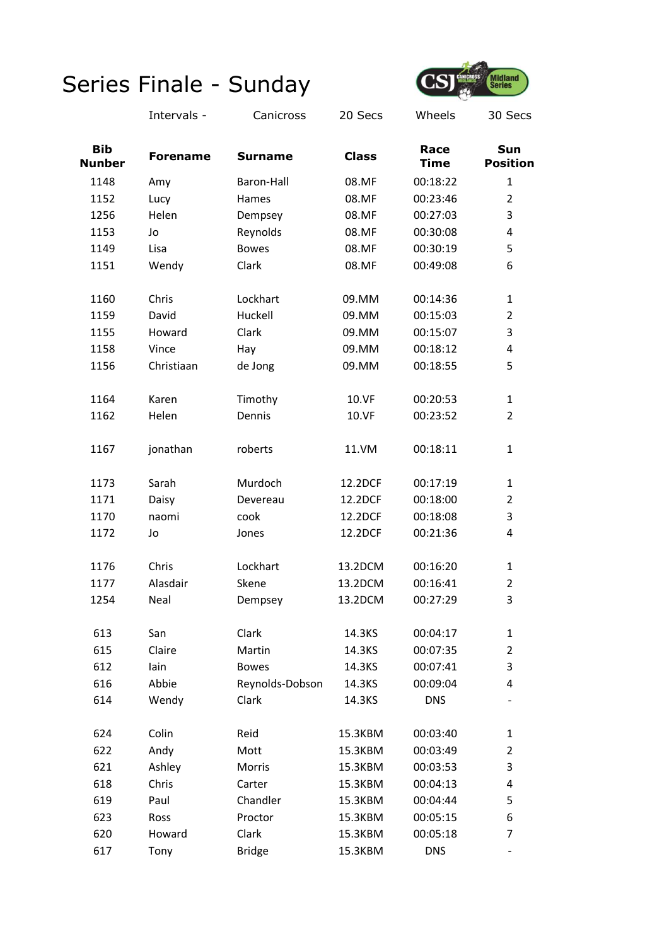

|                             | Intervals -     | Canicross       | 20 Secs      | Wheels              | 30 Secs                  |
|-----------------------------|-----------------|-----------------|--------------|---------------------|--------------------------|
| <b>Bib</b><br><b>Nunber</b> | <b>Forename</b> | <b>Surname</b>  | <b>Class</b> | Race<br><b>Time</b> | Sun<br><b>Position</b>   |
| 1148                        | Amy             | Baron-Hall      | 08.MF        | 00:18:22            | 1                        |
| 1152                        | Lucy            | Hames           | 08.MF        | 00:23:46            | $\overline{2}$           |
| 1256                        | Helen           | Dempsey         | 08.MF        | 00:27:03            | 3                        |
| 1153                        | Jo              | Reynolds        | 08.MF        | 00:30:08            | 4                        |
| 1149                        | Lisa            | <b>Bowes</b>    | 08.MF        | 00:30:19            | 5                        |
| 1151                        | Wendy           | Clark           | 08.MF        | 00:49:08            | 6                        |
| 1160                        | Chris           | Lockhart        | 09.MM        | 00:14:36            | $\mathbf{1}$             |
| 1159                        | David           | Huckell         | 09.MM        | 00:15:03            | $\overline{2}$           |
| 1155                        | Howard          | Clark           | 09.MM        | 00:15:07            | 3                        |
| 1158                        | Vince           | Hay             | 09.MM        | 00:18:12            | 4                        |
| 1156                        | Christiaan      | de Jong         | 09.MM        | 00:18:55            | 5                        |
| 1164                        | Karen           | Timothy         | 10.VF        | 00:20:53            | $\mathbf{1}$             |
| 1162                        | Helen           | Dennis          | 10.VF        | 00:23:52            | $\overline{2}$           |
| 1167                        | jonathan        | roberts         | 11.VM        | 00:18:11            | $\mathbf{1}$             |
| 1173                        | Sarah           | Murdoch         | 12.2DCF      | 00:17:19            | $\mathbf{1}$             |
| 1171                        | Daisy           | Devereau        | 12.2DCF      | 00:18:00            | $\overline{2}$           |
| 1170                        | naomi           | cook            | 12.2DCF      | 00:18:08            | 3                        |
| 1172                        | Jo              | Jones           | 12.2DCF      | 00:21:36            | 4                        |
| 1176                        | Chris           | Lockhart        | 13.2DCM      | 00:16:20            | $\mathbf{1}$             |
| 1177                        | Alasdair        | Skene           | 13.2DCM      | 00:16:41            | $\overline{2}$           |
| 1254                        | Neal            | Dempsey         | 13.2DCM      | 00:27:29            | 3                        |
| 613                         | San             | Clark           | 14.3KS       | 00:04:17            | $\mathbf{1}$             |
| 615                         | Claire          | Martin          | 14.3KS       | 00:07:35            | $\overline{2}$           |
| 612                         | lain            | <b>Bowes</b>    | 14.3KS       | 00:07:41            | 3                        |
| 616                         | Abbie           | Reynolds-Dobson | 14.3KS       | 00:09:04            | 4                        |
| 614                         | Wendy           | Clark           | 14.3KS       | <b>DNS</b>          |                          |
| 624                         | Colin           | Reid            | 15.3KBM      | 00:03:40            | 1                        |
| 622                         | Andy            | Mott            | 15.3KBM      | 00:03:49            | $\overline{2}$           |
| 621                         | Ashley          | Morris          | 15.3KBM      | 00:03:53            | 3                        |
| 618                         | Chris           | Carter          | 15.3KBM      | 00:04:13            | 4                        |
| 619                         | Paul            | Chandler        | 15.3KBM      | 00:04:44            | 5                        |
| 623                         | <b>Ross</b>     | Proctor         | 15.3KBM      | 00:05:15            | 6                        |
| 620                         | Howard          | Clark           | 15.3KBM      | 00:05:18            | 7                        |
| 617                         | Tony            | <b>Bridge</b>   | 15.3KBM      | <b>DNS</b>          | $\overline{\phantom{a}}$ |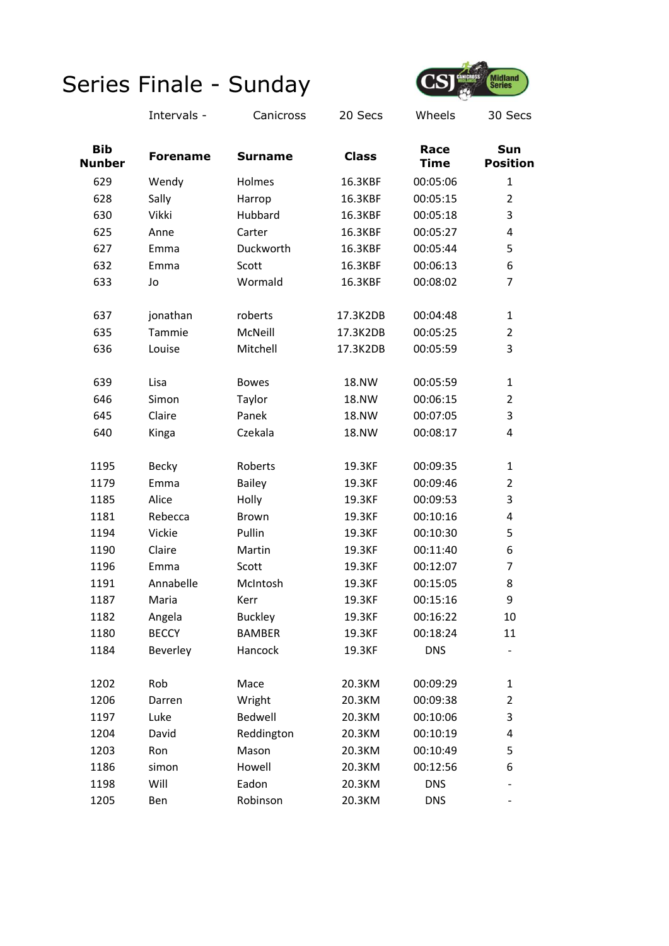

Intervals - Canicross 20 Secs Wheels 30 Secs

| <b>Bib</b><br><b>Nunber</b> | <b>Forename</b> | <b>Surname</b> |              | Race<br><b>Time</b> | Sun<br><b>Position</b>   |  |
|-----------------------------|-----------------|----------------|--------------|---------------------|--------------------------|--|
| 629                         | Wendy           | Holmes         | 16.3KBF      | 00:05:06            | $\mathbf{1}$             |  |
| 628                         | Sally           | Harrop         | 16.3KBF      | 00:05:15            | $\overline{2}$           |  |
| 630                         | Vikki           | Hubbard        | 16.3KBF      | 00:05:18            | 3                        |  |
| 625                         | Anne            | Carter         | 16.3KBF      | 00:05:27            | 4                        |  |
| 627                         | Emma            | Duckworth      | 16.3KBF      | 00:05:44            | 5                        |  |
| 632                         | Emma            | Scott          | 16.3KBF      | 00:06:13            | 6                        |  |
| 633                         | Jo              | Wormald        | 16.3KBF      | 00:08:02            | $\overline{7}$           |  |
| 637                         | jonathan        | roberts        | 17.3K2DB     | 00:04:48            | $\mathbf{1}$             |  |
| 635                         | Tammie          | McNeill        | 17.3K2DB     | 00:05:25            | $\overline{2}$           |  |
| 636                         | Louise          | Mitchell       | 17.3K2DB     | 00:05:59            | 3                        |  |
| 639                         | Lisa            | <b>Bowes</b>   | <b>18.NW</b> | 00:05:59            | $\mathbf{1}$             |  |
| 646                         | Simon           | Taylor         | 18.NW        | 00:06:15            | $\overline{2}$           |  |
| 645                         | Claire          | Panek          | 18.NW        | 00:07:05            | 3                        |  |
| 640                         | Kinga           | Czekala        | <b>18.NW</b> | 00:08:17            | 4                        |  |
| 1195                        | Becky           | Roberts        | 19.3KF       | 00:09:35            | 1                        |  |
| 1179                        | Emma            | <b>Bailey</b>  | 19.3KF       | 00:09:46            | $\overline{2}$           |  |
| 1185                        | Alice           | Holly          | 19.3KF       | 00:09:53            | 3                        |  |
| 1181                        | Rebecca         | <b>Brown</b>   | 19.3KF       | 00:10:16            | 4                        |  |
| 1194                        | Vickie          | Pullin         | 19.3KF       | 00:10:30            | 5                        |  |
| 1190                        | Claire          | Martin         | 19.3KF       | 00:11:40            | 6                        |  |
| 1196                        | Emma            | Scott          | 19.3KF       | 00:12:07            | 7                        |  |
| 1191                        | Annabelle       | McIntosh       | 19.3KF       | 00:15:05            | 8                        |  |
| 1187                        | Maria           | Kerr           | 19.3KF       | 00:15:16            | 9                        |  |
| 1182                        | Angela          | <b>Buckley</b> | 19.3KF       | 00:16:22            | 10                       |  |
| 1180                        | <b>BECCY</b>    | <b>BAMBER</b>  | 19.3KF       | 00:18:24            | 11                       |  |
| 1184                        | Beverley        | Hancock        | 19.3KF       | <b>DNS</b>          |                          |  |
| 1202                        | Rob             | Mace           | 20.3KM       | 00:09:29            | 1                        |  |
| 1206                        | Darren          | Wright         | 20.3KM       | 00:09:38            | $\overline{2}$           |  |
| 1197                        | Luke            | Bedwell        | 20.3KM       | 00:10:06            | 3                        |  |
| 1204                        | David           | Reddington     | 20.3KM       | 00:10:19            | 4                        |  |
| 1203                        | Ron             | Mason          | 20.3KM       | 00:10:49            | 5                        |  |
| 1186                        | simon           | Howell         | 20.3KM       | 00:12:56            | 6                        |  |
| 1198                        | Will            | Eadon          | 20.3KM       | <b>DNS</b>          |                          |  |
| 1205                        | Ben             | Robinson       | 20.3KM       | <b>DNS</b>          | $\overline{\phantom{0}}$ |  |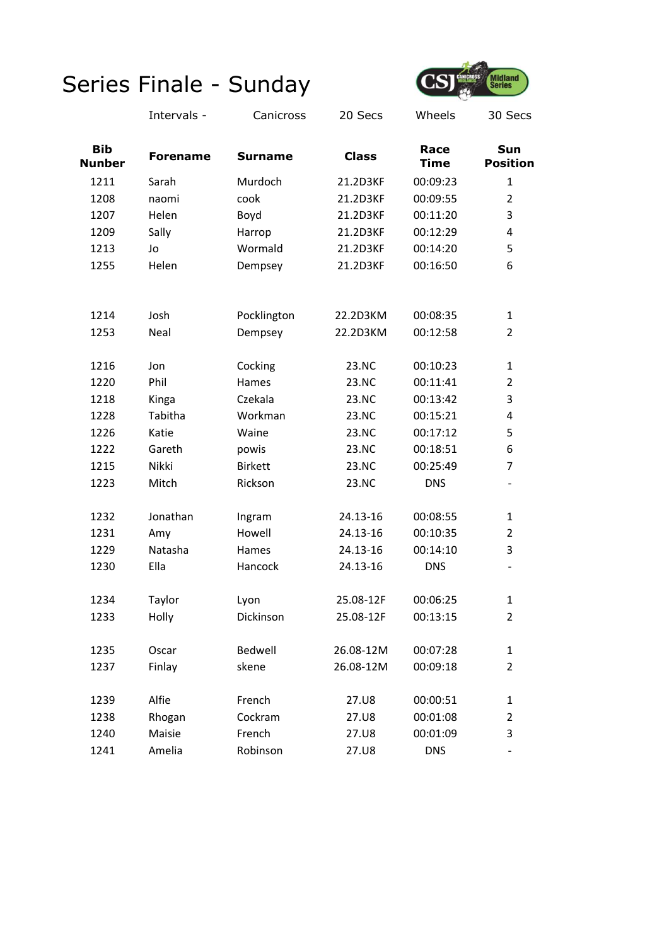

|                             | Intervals -     | Canicross      | 20 Secs      | Wheels              | 30 Secs                  |
|-----------------------------|-----------------|----------------|--------------|---------------------|--------------------------|
| <b>Bib</b><br><b>Nunber</b> | <b>Forename</b> | <b>Surname</b> | <b>Class</b> | Race<br><b>Time</b> | Sun<br><b>Position</b>   |
| 1211                        | Sarah           | Murdoch        | 21.2D3KF     | 00:09:23            | $\mathbf{1}$             |
| 1208                        | naomi           | cook           | 21.2D3KF     | 00:09:55            | $\overline{2}$           |
| 1207                        | Helen           | Boyd           | 21.2D3KF     | 00:11:20            | 3                        |
| 1209                        | Sally           | Harrop         | 21.2D3KF     | 00:12:29            | 4                        |
| 1213                        | Jo              | Wormald        | 21.2D3KF     | 00:14:20            | 5                        |
| 1255                        | Helen           | Dempsey        | 21.2D3KF     | 00:16:50            | 6                        |
| 1214                        | Josh            | Pocklington    | 22.2D3KM     | 00:08:35            | 1                        |
| 1253                        | Neal            | Dempsey        | 22.2D3KM     | 00:12:58            | $\overline{2}$           |
| 1216                        | Jon             | Cocking        | 23.NC        | 00:10:23            | $\mathbf{1}$             |
| 1220                        | Phil            | Hames          | 23.NC        | 00:11:41            | $\overline{2}$           |
| 1218                        | Kinga           | Czekala        | 23.NC        | 00:13:42            | 3                        |
| 1228                        | Tabitha         | Workman        | 23.NC        | 00:15:21            | 4                        |
| 1226                        | Katie           | Waine          | 23.NC        | 00:17:12            | 5                        |
| 1222                        | Gareth          | powis          | 23.NC        | 00:18:51            | 6                        |
| 1215                        | Nikki           | <b>Birkett</b> | 23.NC        | 00:25:49            | 7                        |
| 1223                        | Mitch           | Rickson        | 23.NC        | <b>DNS</b>          | $\overline{\phantom{0}}$ |
| 1232                        | Jonathan        | Ingram         | 24.13-16     | 00:08:55            | 1                        |
| 1231                        | Amy             | Howell         | 24.13-16     | 00:10:35            | $\overline{2}$           |
| 1229                        | Natasha         | Hames          | 24.13-16     | 00:14:10            | 3                        |
| 1230                        | Ella            | Hancock        | 24.13-16     | <b>DNS</b>          | $\overline{\phantom{0}}$ |
| 1234                        | Taylor          | Lyon           | 25.08-12F    | 00:06:25            | 1                        |
| 1233                        | Holly           | Dickinson      | 25.08-12F    | 00:13:15            | $\overline{2}$           |
| 1235                        | Oscar           | Bedwell        | 26.08-12M    | 00:07:28            | $\mathbf{1}$             |
| 1237                        | Finlay          | skene          | 26.08-12M    | 00:09:18            | $\overline{2}$           |
| 1239                        | Alfie           | French         | 27.U8        | 00:00:51            | 1                        |
| 1238                        | Rhogan          | Cockram        | 27.U8        | 00:01:08            | $\overline{2}$           |
| 1240                        | Maisie          | French         | 27.U8        | 00:01:09            | 3                        |
| 1241                        | Amelia          | Robinson       | 27.U8        | <b>DNS</b>          | -                        |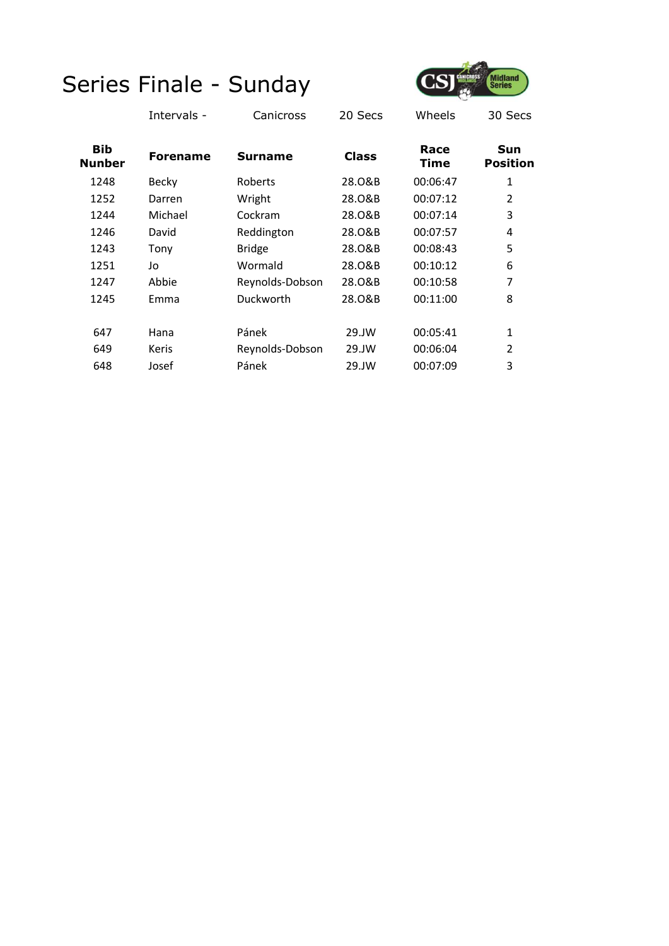

|                             | Intervals -     | Canicross       | 20 Secs      | Wheels              | 30 Secs                |
|-----------------------------|-----------------|-----------------|--------------|---------------------|------------------------|
| <b>Bib</b><br><b>Nunber</b> | <b>Forename</b> | Surname         | <b>Class</b> | Race<br><b>Time</b> | Sun<br><b>Position</b> |
| 1248                        | Becky           | Roberts         | 28.0&B       | 00:06:47            | 1                      |
| 1252                        | Darren          | Wright          | 28.0&B       | 00:07:12            | 2                      |
| 1244                        | Michael         | Cockram         | 28.0&B       | 00:07:14            | 3                      |
| 1246                        | David           | Reddington      | 28.0&B       | 00:07:57            | 4                      |
| 1243                        | Tony            | <b>Bridge</b>   | 28.0&B       | 00:08:43            | 5                      |
| 1251                        | Jo              | Wormald         | 28.0&B       | 00:10:12            | 6                      |
| 1247                        | Abbie           | Reynolds-Dobson | 28.0&B       | 00:10:58            | 7                      |
| 1245                        | Emma            | Duckworth       | 28.0&B       | 00:11:00            | 8                      |
|                             |                 |                 |              |                     |                        |
| 647                         | Hana            | Pánek           | 29.JW        | 00:05:41            | 1                      |
| 649                         | Keris           | Reynolds-Dobson | 29.JW        | 00:06:04            | 2                      |
| 648                         | Josef           | Pánek           | 29.JW        | 00:07:09            | 3                      |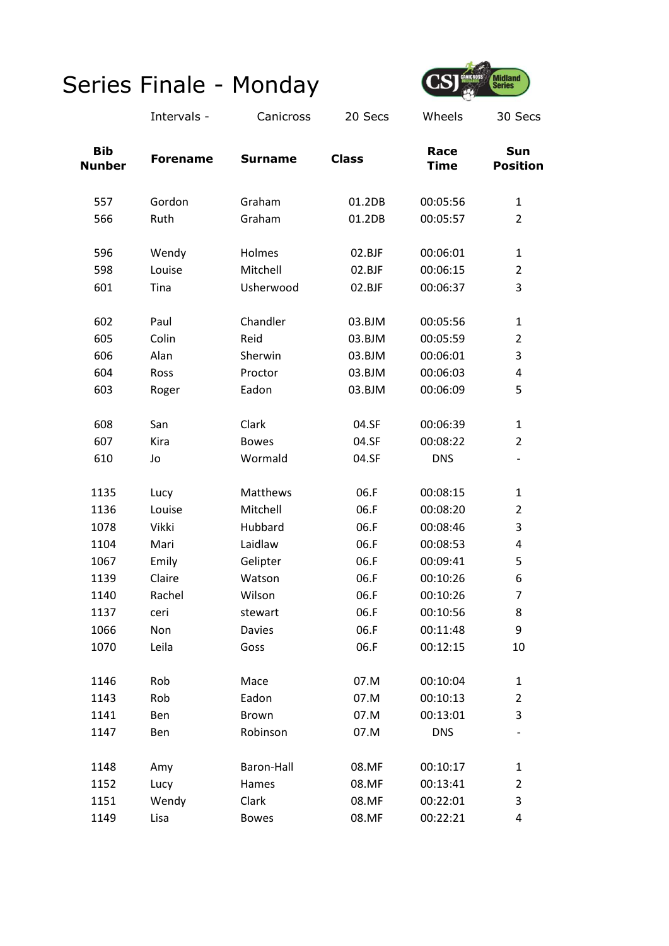

|                             | Intervals -     | Canicross      | 20 Secs      | Wheels              | 30 Secs                |
|-----------------------------|-----------------|----------------|--------------|---------------------|------------------------|
| <b>Bib</b><br><b>Nunber</b> | <b>Forename</b> | <b>Surname</b> | <b>Class</b> | Race<br><b>Time</b> | Sun<br><b>Position</b> |
| 557                         | Gordon          | Graham         | 01.2DB       | 00:05:56            | $\mathbf{1}$           |
| 566                         | Ruth            | Graham         | 01.2DB       | 00:05:57            | $\overline{2}$         |
| 596                         | Wendy           | Holmes         | 02.BJF       | 00:06:01            | $\mathbf{1}$           |
| 598                         | Louise          | Mitchell       | 02.BJF       | 00:06:15            | $\overline{2}$         |
| 601                         | Tina            | Usherwood      | 02.BJF       | 00:06:37            | 3                      |
| 602                         | Paul            | Chandler       | 03.BJM       | 00:05:56            | $\mathbf{1}$           |
| 605                         | Colin           | Reid           | 03.BJM       | 00:05:59            | $\overline{2}$         |
| 606                         | Alan            | Sherwin        | 03.BJM       | 00:06:01            | 3                      |
| 604                         | Ross            | Proctor        | 03.BJM       | 00:06:03            | 4                      |
| 603                         | Roger           | Eadon          | 03.BJM       | 00:06:09            | 5                      |
| 608                         | San             | Clark          | 04.SF        | 00:06:39            | $\mathbf{1}$           |
| 607                         | Kira            | <b>Bowes</b>   | 04.SF        | 00:08:22            | $\overline{2}$         |
| 610                         | Jo              | Wormald        | 04.SF        | <b>DNS</b>          |                        |
| 1135                        | Lucy            | Matthews       | 06.F         | 00:08:15            | $\mathbf{1}$           |
| 1136                        | Louise          | Mitchell       | 06.F         | 00:08:20            | $\overline{2}$         |
| 1078                        | Vikki           | Hubbard        | 06.F         | 00:08:46            | 3                      |
| 1104                        | Mari            | Laidlaw        | 06.F         | 00:08:53            | 4                      |
| 1067                        | Emily           | Gelipter       | 06.F         | 00:09:41            | 5                      |
| 1139                        | Claire          | Watson         | 06.F         | 00:10:26            | 6                      |
| 1140                        | Rachel          | Wilson         | 06.F         | 00:10:26            | 7                      |
| 1137                        | ceri            | stewart        | 06.F         | 00:10:56            | 8                      |
| 1066                        | Non             | <b>Davies</b>  | 06.F         | 00:11:48            | 9                      |
| 1070                        | Leila           | Goss           | 06.F         | 00:12:15            | 10                     |
| 1146                        | Rob             | Mace           | 07.M         | 00:10:04            | $\mathbf{1}$           |
| 1143                        | Rob             | Eadon          | 07.M         | 00:10:13            | $\overline{2}$         |
| 1141                        | Ben             | Brown          | 07.M         | 00:13:01            | 3                      |
| 1147                        | Ben             | Robinson       | 07.M         | <b>DNS</b>          |                        |
| 1148                        | Amy             | Baron-Hall     | 08.MF        | 00:10:17            | $\mathbf{1}$           |
| 1152                        | Lucy            | Hames          | 08.MF        | 00:13:41            | $\overline{2}$         |
| 1151                        | Wendy           | Clark          | 08.MF        | 00:22:01            | 3                      |
| 1149                        | Lisa            | <b>Bowes</b>   | 08.MF        | 00:22:21            | 4                      |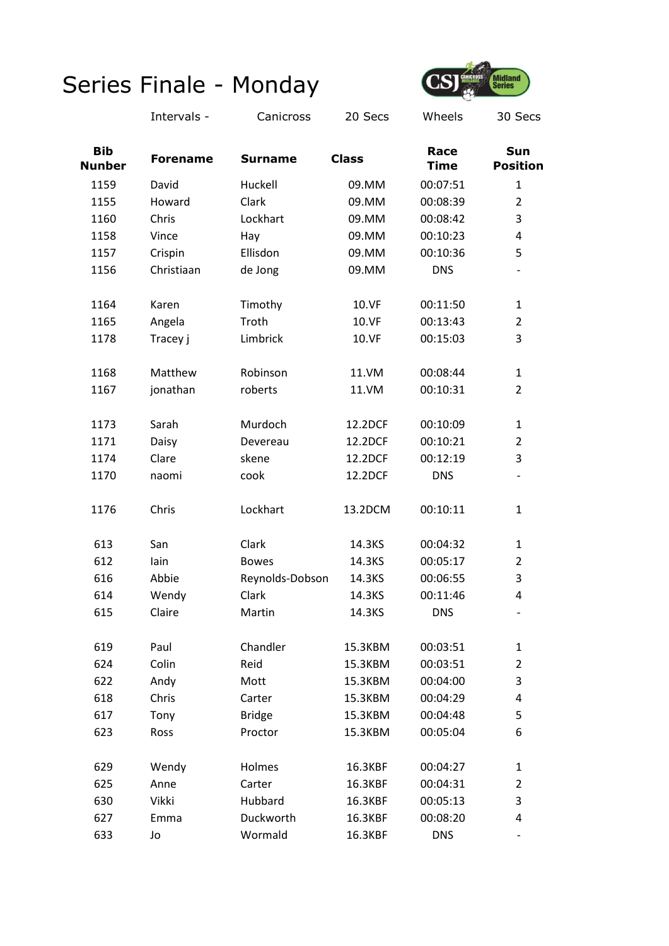

|                             | Intervals -     | Canicross       | 20 Secs      | Wheels              | 30 Secs                |
|-----------------------------|-----------------|-----------------|--------------|---------------------|------------------------|
| <b>Bib</b><br><b>Nunber</b> | <b>Forename</b> | <b>Surname</b>  | <b>Class</b> | Race<br><b>Time</b> | Sun<br><b>Position</b> |
| 1159                        | David           | Huckell         | 09.MM        | 00:07:51            | 1                      |
| 1155                        | Howard          | Clark           | 09.MM        | 00:08:39            | $\overline{2}$         |
| 1160                        | Chris           | Lockhart        | 09.MM        | 00:08:42            | 3                      |
| 1158                        | Vince           | Hay             | 09.MM        | 00:10:23            | 4                      |
| 1157                        | Crispin         | Ellisdon        | 09.MM        | 00:10:36            | 5                      |
| 1156                        | Christiaan      | de Jong         | 09.MM        | <b>DNS</b>          |                        |
| 1164                        | Karen           | Timothy         | 10.VF        | 00:11:50            | $\mathbf{1}$           |
| 1165                        | Angela          | Troth           | 10.VF        | 00:13:43            | $\overline{2}$         |
| 1178                        | Tracey j        | Limbrick        | 10.VF        | 00:15:03            | 3                      |
| 1168                        | Matthew         | Robinson        | 11.VM        | 00:08:44            | 1                      |
| 1167                        | jonathan        | roberts         | 11.VM        | 00:10:31            | $\overline{2}$         |
| 1173                        | Sarah           | Murdoch         | 12.2DCF      | 00:10:09            | $\mathbf{1}$           |
| 1171                        | Daisy           | Devereau        | 12.2DCF      | 00:10:21            | $\overline{2}$         |
| 1174                        | Clare           | skene           | 12.2DCF      | 00:12:19            | 3                      |
| 1170                        | naomi           | cook            | 12.2DCF      | <b>DNS</b>          |                        |
| 1176                        | Chris           | Lockhart        | 13.2DCM      | 00:10:11            | 1                      |
| 613                         | San             | Clark           | 14.3KS       | 00:04:32            | 1                      |
| 612                         | lain            | <b>Bowes</b>    | 14.3KS       | 00:05:17            | 2                      |
| 616                         | Abbie           | Reynolds-Dobson | 14.3KS       | 00:06:55            | 3                      |
| 614                         | Wendy           | Clark           | 14.3KS       | 00:11:46            | 4                      |
| 615                         | Claire          | Martin          | 14.3KS       | <b>DNS</b>          |                        |
| 619                         | Paul            | Chandler        | 15.3KBM      | 00:03:51            | $\mathbf{1}$           |
| 624                         | Colin           | Reid            | 15.3KBM      | 00:03:51            | $\overline{2}$         |
| 622                         | Andy            | Mott            | 15.3KBM      | 00:04:00            | 3                      |
| 618                         | Chris           | Carter          | 15.3KBM      | 00:04:29            | 4                      |
| 617                         | Tony            | <b>Bridge</b>   | 15.3KBM      | 00:04:48            | 5                      |
| 623                         | Ross            | Proctor         | 15.3KBM      | 00:05:04            | 6                      |
| 629                         | Wendy           | Holmes          | 16.3KBF      | 00:04:27            | $\mathbf{1}$           |
| 625                         | Anne            | Carter          | 16.3KBF      | 00:04:31            | $\overline{2}$         |
| 630                         | Vikki           | Hubbard         | 16.3KBF      | 00:05:13            | 3                      |
| 627                         | Emma            | Duckworth       | 16.3KBF      | 00:08:20            | 4                      |
| 633                         | Jo              | Wormald         | 16.3KBF      | <b>DNS</b>          |                        |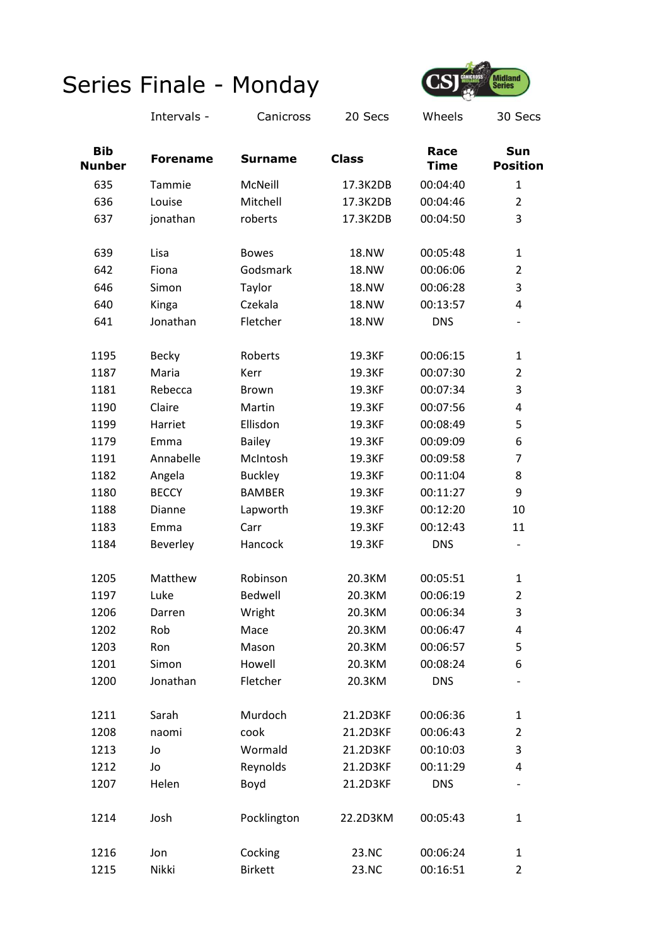

|                             | Intervals -     | Canicross      | 20 Secs      | Wheels              | 30 Secs                       |
|-----------------------------|-----------------|----------------|--------------|---------------------|-------------------------------|
| <b>Bib</b><br><b>Nunber</b> | <b>Forename</b> | <b>Surname</b> | <b>Class</b> | Race<br><b>Time</b> | <b>Sun</b><br><b>Position</b> |
| 635                         | Tammie          | McNeill        | 17.3K2DB     | 00:04:40            | 1                             |
| 636                         | Louise          | Mitchell       | 17.3K2DB     | 00:04:46            | $\overline{2}$                |
| 637                         | jonathan        | roberts        | 17.3K2DB     | 00:04:50            | 3                             |
| 639                         | Lisa            | <b>Bowes</b>   | <b>18.NW</b> | 00:05:48            | $\mathbf{1}$                  |
| 642                         | Fiona           | Godsmark       | 18.NW        | 00:06:06            | $\overline{2}$                |
| 646                         | Simon           | Taylor         | 18.NW        | 00:06:28            | 3                             |
| 640                         | Kinga           | Czekala        | 18.NW        | 00:13:57            | 4                             |
| 641                         | Jonathan        | Fletcher       | 18.NW        | <b>DNS</b>          | $\overline{\phantom{a}}$      |
| 1195                        | <b>Becky</b>    | Roberts        | 19.3KF       | 00:06:15            | $\mathbf{1}$                  |
| 1187                        | Maria           | Kerr           | 19.3KF       | 00:07:30            | $\overline{2}$                |
| 1181                        | Rebecca         | <b>Brown</b>   | 19.3KF       | 00:07:34            | 3                             |
| 1190                        | Claire          | Martin         | 19.3KF       | 00:07:56            | 4                             |
| 1199                        | Harriet         | Ellisdon       | 19.3KF       | 00:08:49            | 5                             |
| 1179                        | Emma            | <b>Bailey</b>  | 19.3KF       | 00:09:09            | 6                             |
| 1191                        | Annabelle       | McIntosh       | 19.3KF       | 00:09:58            | $\overline{7}$                |
| 1182                        | Angela          | <b>Buckley</b> | 19.3KF       | 00:11:04            | 8                             |
| 1180                        | <b>BECCY</b>    | <b>BAMBER</b>  | 19.3KF       | 00:11:27            | 9                             |
| 1188                        | Dianne          | Lapworth       | 19.3KF       | 00:12:20            | 10                            |
| 1183                        | Emma            | Carr           | 19.3KF       | 00:12:43            | 11                            |
| 1184                        | Beverley        | Hancock        | 19.3KF       | <b>DNS</b>          | $\overline{\phantom{a}}$      |
| 1205                        | Matthew         | Robinson       | 20.3KM       | 00:05:51            | $\mathbf{1}$                  |
| 1197                        | Luke            | <b>Bedwell</b> | 20.3KM       | 00:06:19            | $\overline{2}$                |
| 1206                        | Darren          | Wright         | 20.3KM       | 00:06:34            | 3                             |
| 1202                        | Rob             | Mace           | 20.3KM       | 00:06:47            | 4                             |
| 1203                        | Ron             | Mason          | 20.3KM       | 00:06:57            | 5                             |
| 1201                        | Simon           | Howell         | 20.3KM       | 00:08:24            | 6                             |
| 1200                        | Jonathan        | Fletcher       | 20.3KM       | <b>DNS</b>          |                               |
| 1211                        | Sarah           | Murdoch        | 21.2D3KF     | 00:06:36            | $\mathbf{1}$                  |
| 1208                        | naomi           | cook           | 21.2D3KF     | 00:06:43            | $\overline{2}$                |
| 1213                        | Jo              | Wormald        | 21.2D3KF     | 00:10:03            | 3                             |
| 1212                        | Jo              | Reynolds       | 21.2D3KF     | 00:11:29            | 4                             |
| 1207                        | Helen           | Boyd           | 21.2D3KF     | <b>DNS</b>          |                               |
| 1214                        | Josh            | Pocklington    | 22.2D3KM     | 00:05:43            | $\mathbf{1}$                  |
| 1216                        | Jon             | Cocking        | 23.NC        | 00:06:24            | $\mathbf{1}$                  |
| 1215                        | Nikki           | <b>Birkett</b> | 23.NC        | 00:16:51            | 2                             |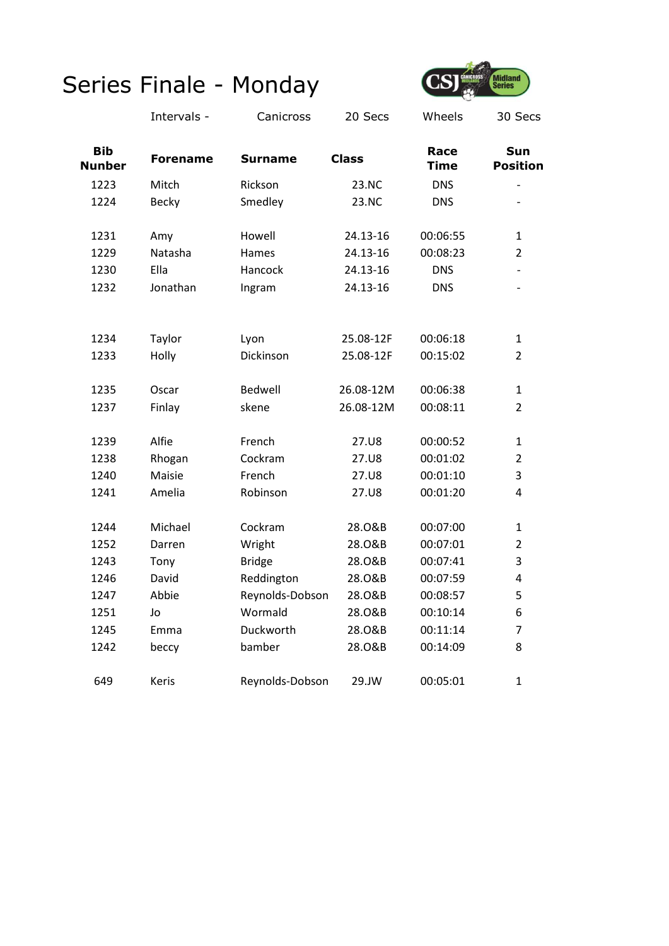

|                             | Intervals -     | Canicross       | 20 Secs      | Wheels              | 30 Secs                |
|-----------------------------|-----------------|-----------------|--------------|---------------------|------------------------|
| <b>Bib</b><br><b>Nunber</b> | <b>Forename</b> | <b>Surname</b>  | <b>Class</b> | Race<br><b>Time</b> | Sun<br><b>Position</b> |
| 1223                        | Mitch           | Rickson         | 23.NC        | <b>DNS</b>          |                        |
| 1224                        | Becky           | Smedley         | 23.NC        | <b>DNS</b>          | $\overline{a}$         |
| 1231                        | Amy             | Howell          | 24.13-16     | 00:06:55            | $\mathbf{1}$           |
| 1229                        | Natasha         | Hames           | 24.13-16     | 00:08:23            | $\overline{2}$         |
| 1230                        | Ella            | Hancock         | 24.13-16     | <b>DNS</b>          |                        |
| 1232                        | Jonathan        | Ingram          | 24.13-16     | <b>DNS</b>          |                        |
|                             |                 |                 |              | 00:06:18            |                        |
| 1234                        | Taylor          | Lyon            | 25.08-12F    |                     | $\mathbf{1}$           |
| 1233                        | Holly           | Dickinson       | 25.08-12F    | 00:15:02            | $\overline{2}$         |
| 1235                        | Oscar           | Bedwell         | 26.08-12M    | 00:06:38            | $\mathbf{1}$           |
| 1237                        | Finlay          | skene           | 26.08-12M    | 00:08:11            | $\overline{2}$         |
| 1239                        | Alfie           | French          | 27.U8        | 00:00:52            | $\mathbf{1}$           |
| 1238                        | Rhogan          | Cockram         | 27.U8        | 00:01:02            | $\overline{2}$         |
| 1240                        | Maisie          | French          | 27.U8        | 00:01:10            | 3                      |
| 1241                        | Amelia          | Robinson        | 27.U8        | 00:01:20            | 4                      |
| 1244                        | Michael         | Cockram         | 28.0&B       | 00:07:00            | $\mathbf{1}$           |
| 1252                        | Darren          | Wright          | 28.0&B       | 00:07:01            | $\overline{2}$         |
| 1243                        | Tony            | <b>Bridge</b>   | 28.0&B       | 00:07:41            | 3                      |
| 1246                        | David           | Reddington      | 28.0&B       | 00:07:59            | 4                      |
| 1247                        | Abbie           | Reynolds-Dobson | 28.0&B       | 00:08:57            | 5                      |
| 1251                        | Jo              | Wormald         | 28.0&B       | 00:10:14            | 6                      |
| 1245                        | Emma            | Duckworth       | 28.0&B       | 00:11:14            | 7                      |
| 1242                        | beccy           | bamber          | 28.0&B       | 00:14:09            | 8                      |
| 649                         | Keris           | Reynolds-Dobson | 29.JW        | 00:05:01            | $\mathbf{1}$           |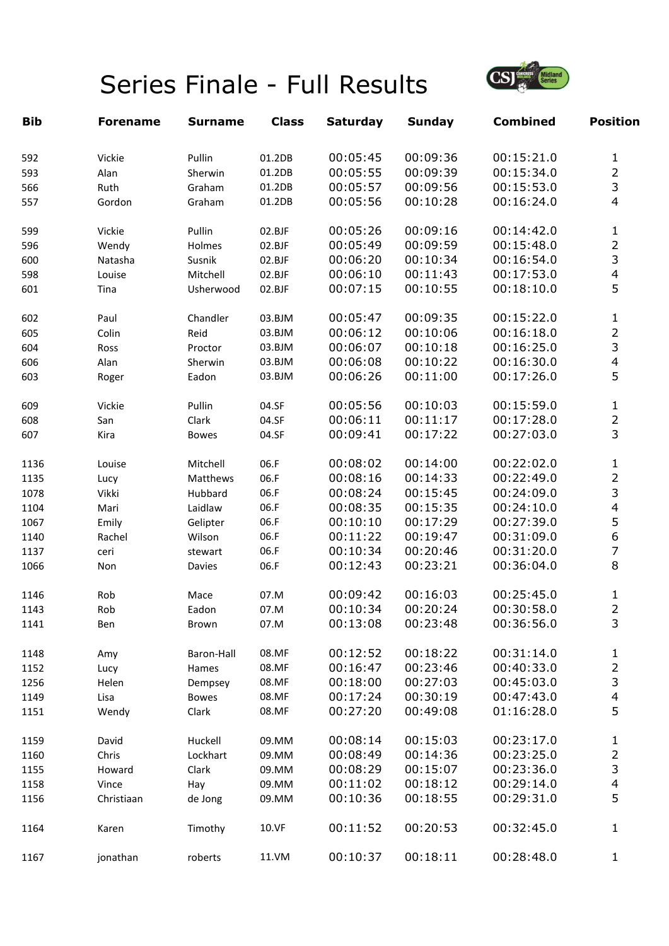# Series Finale - Full Results



| <b>Bib</b> | <b>Forename</b> | <b>Surname</b> | <b>Class</b> | <b>Saturday</b> | <b>Sunday</b> | <b>Combined</b> | <b>Position</b>         |
|------------|-----------------|----------------|--------------|-----------------|---------------|-----------------|-------------------------|
| 592        | Vickie          | Pullin         | 01.2DB       | 00:05:45        | 00:09:36      | 00:15:21.0      | $\mathbf 1$             |
| 593        | Alan            | Sherwin        | 01.2DB       | 00:05:55        | 00:09:39      | 00:15:34.0      | $\overline{c}$          |
| 566        | Ruth            | Graham         | 01.2DB       | 00:05:57        | 00:09:56      | 00:15:53.0      | $\overline{3}$          |
| 557        | Gordon          | Graham         | 01.2DB       | 00:05:56        | 00:10:28      | 00:16:24.0      | 4                       |
| 599        | Vickie          | Pullin         | 02.BJF       | 00:05:26        | 00:09:16      | 00:14:42.0      | $\mathbf 1$             |
| 596        | Wendy           | Holmes         | 02.BJF       | 00:05:49        | 00:09:59      | 00:15:48.0      | $\overline{2}$          |
| 600        | Natasha         | Susnik         | 02.BJF       | 00:06:20        | 00:10:34      | 00:16:54.0      | 3                       |
| 598        | Louise          | Mitchell       | 02.BJF       | 00:06:10        | 00:11:43      | 00:17:53.0      | $\overline{\mathbf{4}}$ |
| 601        | Tina            | Usherwood      | 02.BJF       | 00:07:15        | 00:10:55      | 00:18:10.0      | 5                       |
| 602        | Paul            | Chandler       | 03.BJM       | 00:05:47        | 00:09:35      | 00:15:22.0      | $\mathbf{1}$            |
| 605        | Colin           | Reid           | 03.BJM       | 00:06:12        | 00:10:06      | 00:16:18.0      | $\overline{c}$          |
| 604        | Ross            | Proctor        | 03.BJM       | 00:06:07        | 00:10:18      | 00:16:25.0      | $\overline{3}$          |
| 606        | Alan            | Sherwin        | 03.BJM       | 00:06:08        | 00:10:22      | 00:16:30.0      | $\overline{\mathbf{4}}$ |
| 603        | Roger           | Eadon          | 03.BJM       | 00:06:26        | 00:11:00      | 00:17:26.0      | 5                       |
| 609        | Vickie          | Pullin         | 04.SF        | 00:05:56        | 00:10:03      | 00:15:59.0      | $\mathbf{1}$            |
| 608        | San             | Clark          | 04.SF        | 00:06:11        | 00:11:17      | 00:17:28.0      | $\overline{2}$          |
| 607        | Kira            | <b>Bowes</b>   | 04.SF        | 00:09:41        | 00:17:22      | 00:27:03.0      | 3                       |
| 1136       | Louise          | Mitchell       | 06.F         | 00:08:02        | 00:14:00      | 00:22:02.0      | $\mathbf{1}$            |
| 1135       | Lucy            | Matthews       | 06.F         | 00:08:16        | 00:14:33      | 00:22:49.0      | $\overline{2}$          |
| 1078       | Vikki           | Hubbard        | 06.F         | 00:08:24        | 00:15:45      | 00:24:09.0      | 3                       |
| 1104       | Mari            | Laidlaw        | 06.F         | 00:08:35        | 00:15:35      | 00:24:10.0      | 4                       |
| 1067       | Emily           | Gelipter       | 06.F         | 00:10:10        | 00:17:29      | 00:27:39.0      | 5                       |
| 1140       | Rachel          | Wilson         | 06.F         | 00:11:22        | 00:19:47      | 00:31:09.0      | 6                       |
| 1137       | ceri            | stewart        | 06.F         | 00:10:34        | 00:20:46      | 00:31:20.0      | $\overline{7}$          |
| 1066       | Non             | Davies         | 06.F         | 00:12:43        | 00:23:21      | 00:36:04.0      | 8                       |
| 1146       | Rob             | Mace           | 07.M         | 00:09:42        | 00:16:03      | 00:25:45.0      | 1                       |
| 1143       | Rob             | Eadon          | 07.M         | 00:10:34        | 00:20:24      | 00:30:58.0      | $\overline{2}$          |
| 1141       | Ben             | Brown          | 07.M         | 00:13:08        | 00:23:48      | 00:36:56.0      | 3                       |
| 1148       | Amy             | Baron-Hall     | 08.MF        | 00:12:52        | 00:18:22      | 00:31:14.0      | $\mathbf{1}$            |
| 1152       | Lucy            | Hames          | 08.MF        | 00:16:47        | 00:23:46      | 00:40:33.0      | $\overline{2}$          |
| 1256       | Helen           | Dempsey        | 08.MF        | 00:18:00        | 00:27:03      | 00:45:03.0      | 3                       |
| 1149       | Lisa            | <b>Bowes</b>   | 08.MF        | 00:17:24        | 00:30:19      | 00:47:43.0      | $\overline{\mathbf{4}}$ |
| 1151       | Wendy           | Clark          | 08.MF        | 00:27:20        | 00:49:08      | 01:16:28.0      | 5                       |
| 1159       | David           | Huckell        | 09.MM        | 00:08:14        | 00:15:03      | 00:23:17.0      | 1                       |
| 1160       | Chris           | Lockhart       | 09.MM        | 00:08:49        | 00:14:36      | 00:23:25.0      | $\overline{2}$          |
| 1155       | Howard          | Clark          | 09.MM        | 00:08:29        | 00:15:07      | 00:23:36.0      | 3                       |
| 1158       | Vince           | Hay            | 09.MM        | 00:11:02        | 00:18:12      | 00:29:14.0      | $\overline{\mathbf{4}}$ |
| 1156       | Christiaan      | de Jong        | 09.MM        | 00:10:36        | 00:18:55      | 00:29:31.0      | 5                       |
| 1164       | Karen           | Timothy        | 10.VF        | 00:11:52        | 00:20:53      | 00:32:45.0      | 1                       |
| 1167       | jonathan        | roberts        | 11.VM        | 00:10:37        | 00:18:11      | 00:28:48.0      | $\mathbf{1}$            |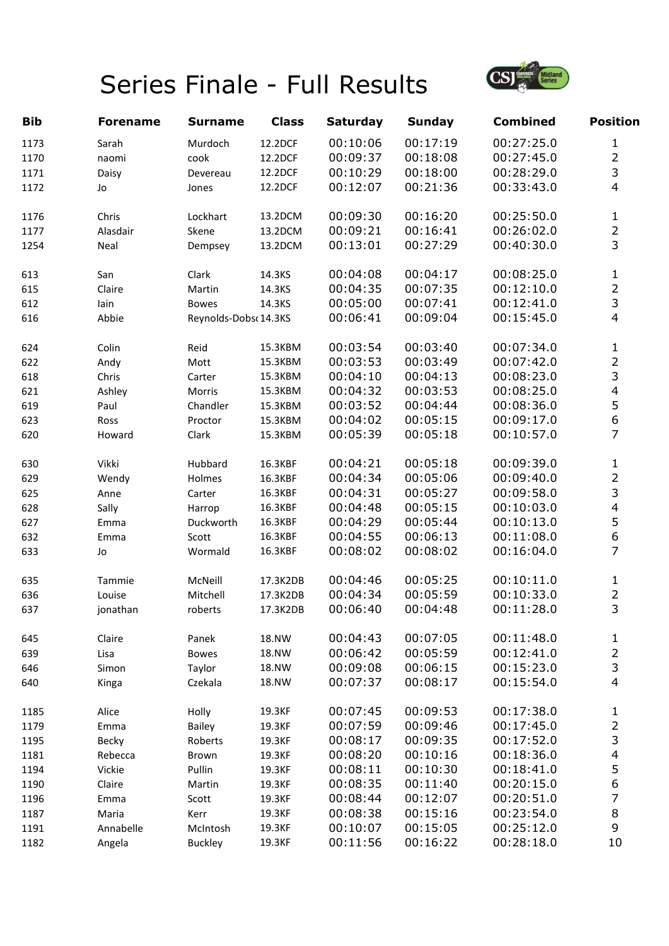# Series Finale - Full Results



| <b>Bib</b> | <b>Forename</b> | <b>Surname</b>       | <b>Class</b> | <b>Saturday</b> | <b>Sunday</b> | <b>Combined</b> | <b>Position</b>         |
|------------|-----------------|----------------------|--------------|-----------------|---------------|-----------------|-------------------------|
| 1173       | Sarah           | Murdoch              | 12.2DCF      | 00:10:06        | 00:17:19      | 00:27:25.0      | $\mathbf{1}$            |
| 1170       | naomi           | cook                 | 12.2DCF      | 00:09:37        | 00:18:08      | 00:27:45.0      | $\overline{2}$          |
| 1171       | Daisy           | Devereau             | 12.2DCF      | 00:10:29        | 00:18:00      | 00:28:29.0      | 3                       |
| 1172       | Jo              | Jones                | 12.2DCF      | 00:12:07        | 00:21:36      | 00:33:43.0      | $\overline{4}$          |
| 1176       | Chris           | Lockhart             | 13.2DCM      | 00:09:30        | 00:16:20      | 00:25:50.0      | $\mathbf{1}$            |
| 1177       | Alasdair        | Skene                | 13.2DCM      | 00:09:21        | 00:16:41      | 00:26:02.0      | $\overline{2}$          |
| 1254       | Neal            | Dempsey              | 13.2DCM      | 00:13:01        | 00:27:29      | 00:40:30.0      | $\overline{3}$          |
| 613        | San             | Clark                | 14.3KS       | 00:04:08        | 00:04:17      | 00:08:25.0      | $\mathbf 1$             |
| 615        | Claire          | Martin               | 14.3KS       | 00:04:35        | 00:07:35      | 00:12:10.0      | $\overline{2}$          |
| 612        | lain            | <b>Bowes</b>         | 14.3KS       | 00:05:00        | 00:07:41      | 00:12:41.0      | 3                       |
| 616        | Abbie           | Reynolds-Dobs(14.3KS |              | 00:06:41        | 00:09:04      | 00:15:45.0      | $\overline{4}$          |
| 624        | Colin           | Reid                 | 15.3KBM      | 00:03:54        | 00:03:40      | 00:07:34.0      | $\mathbf{1}$            |
| 622        | Andy            | Mott                 | 15.3KBM      | 00:03:53        | 00:03:49      | 00:07:42.0      | $\overline{c}$          |
| 618        | Chris           | Carter               | 15.3KBM      | 00:04:10        | 00:04:13      | 00:08:23.0      | 3                       |
| 621        | Ashley          | Morris               | 15.3KBM      | 00:04:32        | 00:03:53      | 00:08:25.0      | $\overline{\mathbf{4}}$ |
| 619        | Paul            | Chandler             | 15.3KBM      | 00:03:52        | 00:04:44      | 00:08:36.0      | 5                       |
| 623        | Ross            | Proctor              | 15.3KBM      | 00:04:02        | 00:05:15      | 00:09:17.0      | $\boldsymbol{6}$        |
| 620        | Howard          | Clark                | 15.3KBM      | 00:05:39        | 00:05:18      | 00:10:57.0      | $\overline{7}$          |
| 630        | Vikki           | Hubbard              | 16.3KBF      | 00:04:21        | 00:05:18      | 00:09:39.0      | $\mathbf 1$             |
| 629        | Wendy           | Holmes               | 16.3KBF      | 00:04:34        | 00:05:06      | 00:09:40.0      | $\overline{2}$          |
| 625        | Anne            | Carter               | 16.3KBF      | 00:04:31        | 00:05:27      | 00:09:58.0      | 3                       |
| 628        | Sally           | Harrop               | 16.3KBF      | 00:04:48        | 00:05:15      | 00:10:03.0      | $\overline{\mathbf{4}}$ |
| 627        | Emma            | Duckworth            | 16.3KBF      | 00:04:29        | 00:05:44      | 00:10:13.0      | 5                       |
| 632        | Emma            | Scott                | 16.3KBF      | 00:04:55        | 00:06:13      | 00:11:08.0      | 6                       |
| 633        | Jo              | Wormald              | 16.3KBF      | 00:08:02        | 00:08:02      | 00:16:04.0      | $\overline{7}$          |
| 635        | Tammie          | McNeill              | 17.3K2DB     | 00:04:46        | 00:05:25      | 00:10:11.0      | $\mathbf{1}$            |
| 636        | Louise          | Mitchell             | 17.3K2DB     | 00:04:34        | 00:05:59      | 00:10:33.0      | $\overline{2}$          |
| 637        | jonathan        | roberts              | 17.3K2DB     | 00:06:40        | 00:04:48      | 00:11:28.0      | 3                       |
| 645        | Claire          | Panek                | 18.NW        | 00:04:43        | 00:07:05      | 00:11:48.0      | $\mathbf{1}$            |
| 639        | Lisa            | <b>Bowes</b>         | 18.NW        | 00:06:42        | 00:05:59      | 00:12:41.0      | $\overline{2}$          |
| 646        | Simon           | Taylor               | 18.NW        | 00:09:08        | 00:06:15      | 00:15:23.0      | 3                       |
| 640        | Kinga           | Czekala              | 18.NW        | 00:07:37        | 00:08:17      | 00:15:54.0      | $\overline{4}$          |
| 1185       | Alice           | Holly                | 19.3KF       | 00:07:45        | 00:09:53      | 00:17:38.0      | $\mathbf{1}$            |
| 1179       | Emma            | <b>Bailey</b>        | 19.3KF       | 00:07:59        | 00:09:46      | 00:17:45.0      | $\overline{\mathbf{c}}$ |
| 1195       | Becky           | Roberts              | 19.3KF       | 00:08:17        | 00:09:35      | 00:17:52.0      | 3                       |
| 1181       | Rebecca         | Brown                | 19.3KF       | 00:08:20        | 00:10:16      | 00:18:36.0      | $\overline{\mathbf{4}}$ |
| 1194       | Vickie          | Pullin               | 19.3KF       | 00:08:11        | 00:10:30      | 00:18:41.0      | $\frac{5}{6}$           |
| 1190       | Claire          | Martin               | 19.3KF       | 00:08:35        | 00:11:40      | 00:20:15.0      |                         |
| 1196       | Emma            | Scott                | 19.3KF       | 00:08:44        | 00:12:07      | 00:20:51.0      | $\overline{7}$          |
| 1187       | Maria           | Kerr                 | 19.3KF       | 00:08:38        | 00:15:16      | 00:23:54.0      | 8                       |
| 1191       | Annabelle       | McIntosh             | 19.3KF       | 00:10:07        | 00:15:05      | 00:25:12.0      | 9                       |
| 1182       | Angela          | <b>Buckley</b>       | 19.3KF       | 00:11:56        | 00:16:22      | 00:28:18.0      | 10                      |